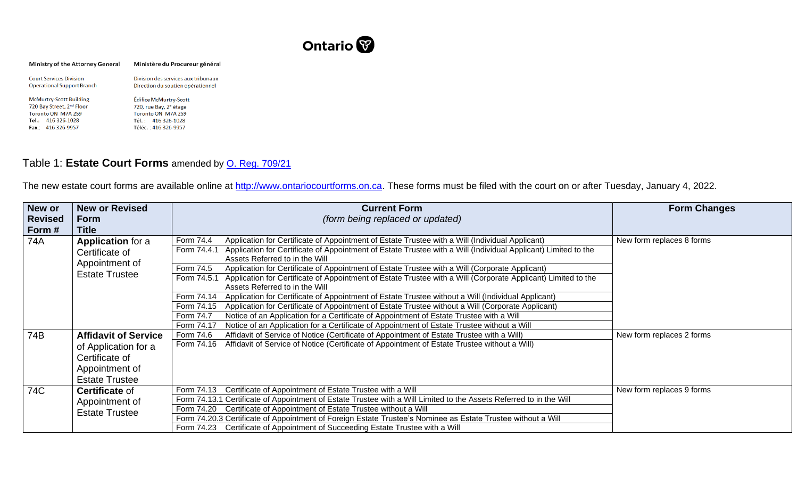

| Ministry of the Attorney General                                    | Ministère du Procureur général                                           |  |  |
|---------------------------------------------------------------------|--------------------------------------------------------------------------|--|--|
| <b>Court Services Division</b><br><b>Operational Support Branch</b> | Division des services aux tribunaux<br>Direction du soutien opérationnel |  |  |
| <b>McMurtry-Scott Building</b>                                      | Édifice McMurtry-Scott                                                   |  |  |
| 720 Bay Street, 2nd Floor                                           | 720, rue Bay, 2 <sup>e</sup> étage                                       |  |  |
| Toronto ON M7A 2S9                                                  | Toronto ON M7A 2S9                                                       |  |  |
| Tel.: 416 326-1028                                                  | Tél.: 416 326-1028                                                       |  |  |
| Fax.: 416 326-9957                                                  | Téléc.: 416 326-9957                                                     |  |  |

## Table 1: **Estate Court Forms** amended by [O. Reg. 709/21](https://www.ontario.ca/laws/regulation/r21709?search=O.+Reg.+709%2F21)

The new estate court forms are available online at http://www.ontariocourtforms.on.ca</u>. These forms must be filed with the court on or after Tuesday, January 4, 2022.

| New or         | <b>New or Revised</b>       | <b>Current Form</b>                                                                                                           | <b>Form Changes</b>       |
|----------------|-----------------------------|-------------------------------------------------------------------------------------------------------------------------------|---------------------------|
| <b>Revised</b> | <b>Form</b>                 | (form being replaced or updated)                                                                                              |                           |
| Form#          | Title                       |                                                                                                                               |                           |
| 74A            | <b>Application for a</b>    | Application for Certificate of Appointment of Estate Trustee with a Will (Individual Applicant)<br>Form 74.4                  | New form replaces 8 forms |
|                | Certificate of              | Application for Certificate of Appointment of Estate Trustee with a Will (Individual Applicant) Limited to the<br>Form 74.4.1 |                           |
|                | Appointment of              | Assets Referred to in the Will                                                                                                |                           |
|                | <b>Estate Trustee</b>       | Form 74.5<br>Application for Certificate of Appointment of Estate Trustee with a Will (Corporate Applicant)                   |                           |
|                |                             | Application for Certificate of Appointment of Estate Trustee with a Will (Corporate Applicant) Limited to the<br>Form 74.5.1  |                           |
|                |                             | Assets Referred to in the Will                                                                                                |                           |
|                |                             | Application for Certificate of Appointment of Estate Trustee without a Will (Individual Applicant)<br>Form 74.14              |                           |
|                |                             | Application for Certificate of Appointment of Estate Trustee without a Will (Corporate Applicant)<br>Form 74.15               |                           |
|                |                             | Form 74.7<br>Notice of an Application for a Certificate of Appointment of Estate Trustee with a Will                          |                           |
|                |                             | Notice of an Application for a Certificate of Appointment of Estate Trustee without a Will<br>Form 74.17                      |                           |
| 74B            | <b>Affidavit of Service</b> | Affidavit of Service of Notice (Certificate of Appointment of Estate Trustee with a Will)<br>Form 74.6                        | New form replaces 2 forms |
|                | of Application for a        | Affidavit of Service of Notice (Certificate of Appointment of Estate Trustee without a Will)<br>Form 74.16                    |                           |
|                | Certificate of              |                                                                                                                               |                           |
|                | Appointment of              |                                                                                                                               |                           |
|                | <b>Estate Trustee</b>       |                                                                                                                               |                           |
| 74C            | <b>Certificate of</b>       | Certificate of Appointment of Estate Trustee with a Will<br>Form 74.13                                                        | New form replaces 9 forms |
|                | Appointment of              | Form 74.13.1 Certificate of Appointment of Estate Trustee with a Will Limited to the Assets Referred to in the Will           |                           |
|                | <b>Estate Trustee</b>       | Form 74.20 Certificate of Appointment of Estate Trustee without a Will                                                        |                           |
|                |                             | Form 74.20.3 Certificate of Appointment of Foreign Estate Trustee's Nominee as Estate Trustee without a Will                  |                           |
|                |                             | Form 74.23 Certificate of Appointment of Succeeding Estate Trustee with a Will                                                |                           |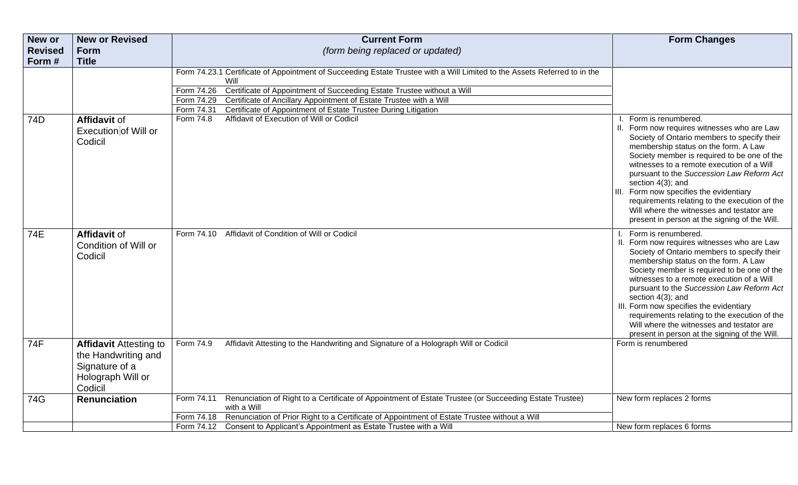| New or         | <b>New or Revised</b>                                                                                  | <b>Current Form</b>                                                                                                                                                                                                                                                                                                                                                                                                                                     | <b>Form Changes</b>                                                                                                                                                                                                                                                                                                                                                                                                                                                                                               |
|----------------|--------------------------------------------------------------------------------------------------------|---------------------------------------------------------------------------------------------------------------------------------------------------------------------------------------------------------------------------------------------------------------------------------------------------------------------------------------------------------------------------------------------------------------------------------------------------------|-------------------------------------------------------------------------------------------------------------------------------------------------------------------------------------------------------------------------------------------------------------------------------------------------------------------------------------------------------------------------------------------------------------------------------------------------------------------------------------------------------------------|
| <b>Revised</b> | <b>Form</b>                                                                                            | (form being replaced or updated)                                                                                                                                                                                                                                                                                                                                                                                                                        |                                                                                                                                                                                                                                                                                                                                                                                                                                                                                                                   |
| Form#          | <b>Title</b>                                                                                           |                                                                                                                                                                                                                                                                                                                                                                                                                                                         |                                                                                                                                                                                                                                                                                                                                                                                                                                                                                                                   |
| 74D            | <b>Affidavit of</b>                                                                                    | Form 74.23.1 Certificate of Appointment of Succeeding Estate Trustee with a Will Limited to the Assets Referred to in the<br>Will<br>Form 74.26<br>Certificate of Appointment of Succeeding Estate Trustee without a Will<br>Certificate of Ancillary Appointment of Estate Trustee with a Will<br>Form 74.29<br>Certificate of Appointment of Estate Trustee During Litigation<br>Form 74.31<br>Affidavit of Execution of Will or Codicil<br>Form 74.8 | Form is renumbered.                                                                                                                                                                                                                                                                                                                                                                                                                                                                                               |
|                | <b>Execution of Will or</b><br>Codicil                                                                 |                                                                                                                                                                                                                                                                                                                                                                                                                                                         | II. Form now requires witnesses who are Law<br>Society of Ontario members to specify their<br>membership status on the form. A Law<br>Society member is required to be one of the<br>witnesses to a remote execution of a Will<br>pursuant to the Succession Law Reform Act<br>section 4(3); and<br>III. Form now specifies the evidentiary<br>requirements relating to the execution of the<br>Will where the witnesses and testator are<br>present in person at the signing of the Will.                        |
| 74E            | <b>Affidavit of</b><br>Condition of Will or<br>Codicil                                                 | Affidavit of Condition of Will or Codicil<br>Form 74.10                                                                                                                                                                                                                                                                                                                                                                                                 | Form is renumbered.<br>II. Form now requires witnesses who are Law<br>Society of Ontario members to specify their<br>membership status on the form. A Law<br>Society member is required to be one of the<br>witnesses to a remote execution of a Will<br>pursuant to the Succession Law Reform Act<br>section 4(3); and<br>III. Form now specifies the evidentiary<br>requirements relating to the execution of the<br>Will where the witnesses and testator are<br>present in person at the signing of the Will. |
| 74F            | <b>Affidavit Attesting to</b><br>the Handwriting and<br>Signature of a<br>Holograph Will or<br>Codicil | Affidavit Attesting to the Handwriting and Signature of a Holograph Will or Codicil<br>Form 74.9                                                                                                                                                                                                                                                                                                                                                        | Form is renumbered                                                                                                                                                                                                                                                                                                                                                                                                                                                                                                |
| 74G            | <b>Renunciation</b>                                                                                    | Renunciation of Right to a Certificate of Appointment of Estate Trustee (or Succeeding Estate Trustee)<br>Form 74.11<br>with a Will                                                                                                                                                                                                                                                                                                                     | New form replaces 2 forms                                                                                                                                                                                                                                                                                                                                                                                                                                                                                         |
|                |                                                                                                        | Renunciation of Prior Right to a Certificate of Appointment of Estate Trustee without a Will<br>Form 74.18                                                                                                                                                                                                                                                                                                                                              |                                                                                                                                                                                                                                                                                                                                                                                                                                                                                                                   |
|                |                                                                                                        | Form 74.12 Consent to Applicant's Appointment as Estate Trustee with a Will                                                                                                                                                                                                                                                                                                                                                                             | New form replaces 6 forms                                                                                                                                                                                                                                                                                                                                                                                                                                                                                         |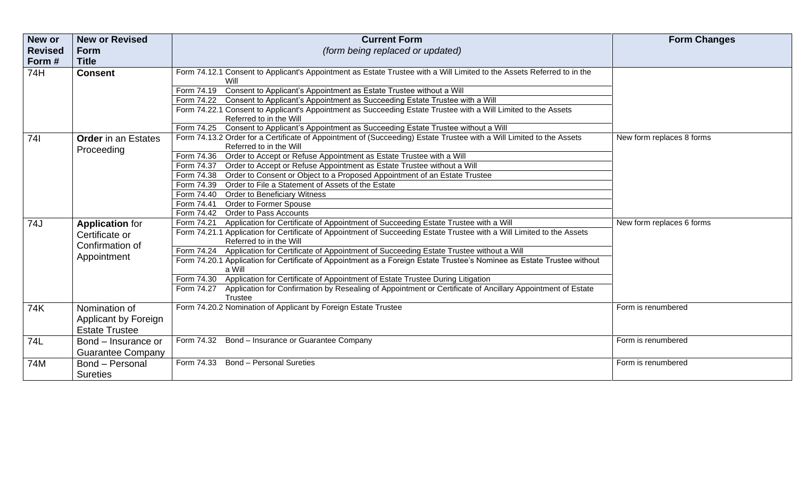| New or         | <b>New or Revised</b>             | <b>Current Form</b>                                                                                                                               | <b>Form Changes</b>       |
|----------------|-----------------------------------|---------------------------------------------------------------------------------------------------------------------------------------------------|---------------------------|
| <b>Revised</b> | <b>Form</b>                       | (form being replaced or updated)                                                                                                                  |                           |
| Form#          | <b>Title</b>                      |                                                                                                                                                   |                           |
| 74H            | <b>Consent</b>                    | Form 74.12.1 Consent to Applicant's Appointment as Estate Trustee with a Will Limited to the Assets Referred to in the<br>Will                    |                           |
|                |                                   | Form 74.19 Consent to Applicant's Appointment as Estate Trustee without a Will                                                                    |                           |
|                |                                   | Form 74.22 Consent to Applicant's Appointment as Succeeding Estate Trustee with a Will                                                            |                           |
|                |                                   | Form 74.22.1 Consent to Applicant's Appointment as Succeeding Estate Trustee with a Will Limited to the Assets                                    |                           |
|                |                                   | Referred to in the Will                                                                                                                           |                           |
|                |                                   | Form 74.25 Consent to Applicant's Appointment as Succeeding Estate Trustee without a Will                                                         |                           |
| 741            | <b>Order</b> in an Estates        | Form 74.13.2 Order for a Certificate of Appointment of (Succeeding) Estate Trustee with a Will Limited to the Assets                              | New form replaces 8 forms |
|                | Proceeding                        | Referred to in the Will                                                                                                                           |                           |
|                |                                   | Form 74.36 Order to Accept or Refuse Appointment as Estate Trustee with a Will                                                                    |                           |
|                |                                   | Form 74.37 Order to Accept or Refuse Appointment as Estate Trustee without a Will                                                                 |                           |
|                |                                   | Form 74.38  Order to Consent or Object to a Proposed Appointment of an Estate Trustee                                                             |                           |
|                |                                   | Form 74.39 Order to File a Statement of Assets of the Estate                                                                                      |                           |
|                |                                   | Form 74.40 Order to Beneficiary Witness                                                                                                           |                           |
|                |                                   | Form 74.41 Order to Former Spouse                                                                                                                 |                           |
|                |                                   | Form 74.42 Order to Pass Accounts                                                                                                                 |                           |
| 74J            | <b>Application for</b>            | Form 74.21 Application for Certificate of Appointment of Succeeding Estate Trustee with a Will                                                    | New form replaces 6 forms |
|                | Certificate or<br>Confirmation of | Form 74.21.1 Application for Certificate of Appointment of Succeeding Estate Trustee with a Will Limited to the Assets<br>Referred to in the Will |                           |
|                |                                   | Form 74.24 Application for Certificate of Appointment of Succeeding Estate Trustee without a Will                                                 |                           |
|                | Appointment                       | Form 74.20.1 Application for Certificate of Appointment as a Foreign Estate Trustee's Nominee as Estate Trustee without<br>a Will                 |                           |
|                |                                   | Application for Certificate of Appointment of Estate Trustee During Litigation<br>Form 74.30                                                      |                           |
|                |                                   | Application for Confirmation by Resealing of Appointment or Certificate of Ancillary Appointment of Estate<br>Form 74.27<br>Trustee               |                           |
| 74K            | Nomination of                     | Form 74.20.2 Nomination of Applicant by Foreign Estate Trustee                                                                                    | Form is renumbered        |
|                | Applicant by Foreign              |                                                                                                                                                   |                           |
|                | <b>Estate Trustee</b>             |                                                                                                                                                   |                           |
| 74L            | Bond – Insurance or               | Form 74.32 Bond - Insurance or Guarantee Company                                                                                                  | Form is renumbered        |
|                |                                   |                                                                                                                                                   |                           |
|                | <b>Guarantee Company</b>          |                                                                                                                                                   |                           |
| 74M            | Bond - Personal                   | Form 74.33 Bond - Personal Sureties                                                                                                               | Form is renumbered        |
|                | <b>Sureties</b>                   |                                                                                                                                                   |                           |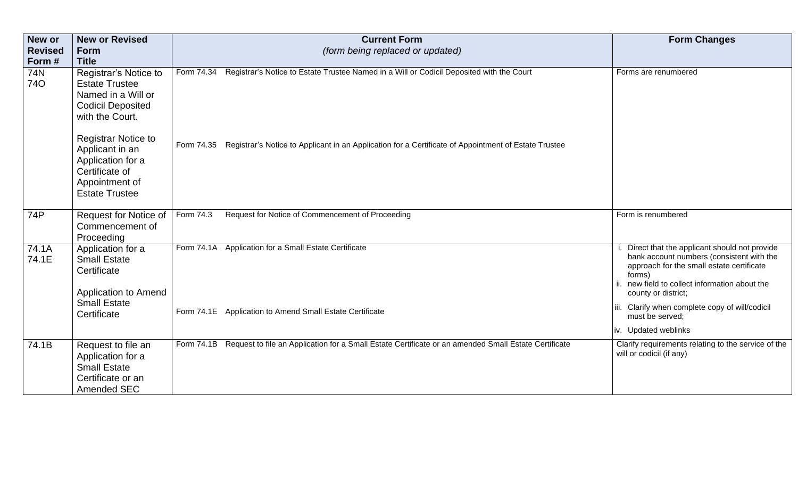| <b>New or</b>              | <b>New or Revised</b>                                                                                                                                                                                                                                                  | <b>Current Form</b>                                                                                                                                                                                                       | <b>Form Changes</b>                                                                                                                                                                                                                                                                                                     |
|----------------------------|------------------------------------------------------------------------------------------------------------------------------------------------------------------------------------------------------------------------------------------------------------------------|---------------------------------------------------------------------------------------------------------------------------------------------------------------------------------------------------------------------------|-------------------------------------------------------------------------------------------------------------------------------------------------------------------------------------------------------------------------------------------------------------------------------------------------------------------------|
| <b>Revised</b>             | <b>Form</b>                                                                                                                                                                                                                                                            | (form being replaced or updated)                                                                                                                                                                                          |                                                                                                                                                                                                                                                                                                                         |
| Form#<br>74N<br><b>740</b> | <b>Title</b><br>Registrar's Notice to<br><b>Estate Trustee</b><br>Named in a Will or<br><b>Codicil Deposited</b><br>with the Court.<br><b>Registrar Notice to</b><br>Applicant in an<br>Application for a<br>Certificate of<br>Appointment of<br><b>Estate Trustee</b> | Registrar's Notice to Estate Trustee Named in a Will or Codicil Deposited with the Court<br>Form 74.34<br>Form 74.35 Registrar's Notice to Applicant in an Application for a Certificate of Appointment of Estate Trustee | Forms are renumbered                                                                                                                                                                                                                                                                                                    |
| 74P                        | Request for Notice of<br>Commencement of<br>Proceeding                                                                                                                                                                                                                 | Request for Notice of Commencement of Proceeding<br>Form 74.3                                                                                                                                                             | Form is renumbered                                                                                                                                                                                                                                                                                                      |
| 74.1A<br>74.1E             | Application for a<br><b>Small Estate</b><br>Certificate<br><b>Application to Amend</b><br><b>Small Estate</b><br>Certificate                                                                                                                                           | Application for a Small Estate Certificate<br>Form 74.1A<br>Form 74.1E Application to Amend Small Estate Certificate                                                                                                      | Direct that the applicant should not provide<br>bank account numbers (consistent with the<br>approach for the small estate certificate<br>forms)<br>ii. new field to collect information about the<br>county or district;<br>iii. Clarify when complete copy of will/codicil<br>must be served;<br>iv. Updated weblinks |
| 74.1B                      | Request to file an<br>Application for a<br><b>Small Estate</b><br>Certificate or an<br>Amended SEC                                                                                                                                                                     | Form 74.1B Request to file an Application for a Small Estate Certificate or an amended Small Estate Certificate                                                                                                           | Clarify requirements relating to the service of the<br>will or codicil (if any)                                                                                                                                                                                                                                         |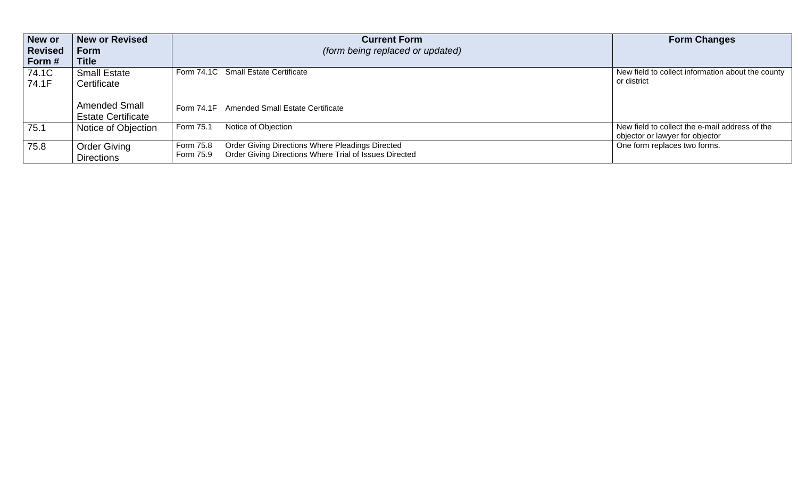| New or         | <b>New or Revised</b>     | <b>Current Form</b>                                                 | <b>Form Changes</b>                               |
|----------------|---------------------------|---------------------------------------------------------------------|---------------------------------------------------|
| <b>Revised</b> | <b>Form</b>               | <i>(form being replaced or updated)</i>                             |                                                   |
| Form #         | <b>Title</b>              |                                                                     |                                                   |
| 74.1C          | <b>Small Estate</b>       | Form 74.1C Small Estate Certificate                                 | New field to collect information about the county |
| 74.1F          | Certificate               |                                                                     | or district                                       |
|                |                           |                                                                     |                                                   |
|                | <b>Amended Small</b>      | Form 74.1F Amended Small Estate Certificate                         |                                                   |
|                | <b>Estate Certificate</b> |                                                                     |                                                   |
| 75.1           | Notice of Objection       | Notice of Objection<br>Form 75.1                                    | New field to collect the e-mail address of the    |
|                |                           |                                                                     | objector or lawyer for objector                   |
| 75.8           | <b>Order Giving</b>       | Order Giving Directions Where Pleadings Directed<br>Form 75.8       | One form replaces two forms.                      |
|                | <b>Directions</b>         | Order Giving Directions Where Trial of Issues Directed<br>Form 75.9 |                                                   |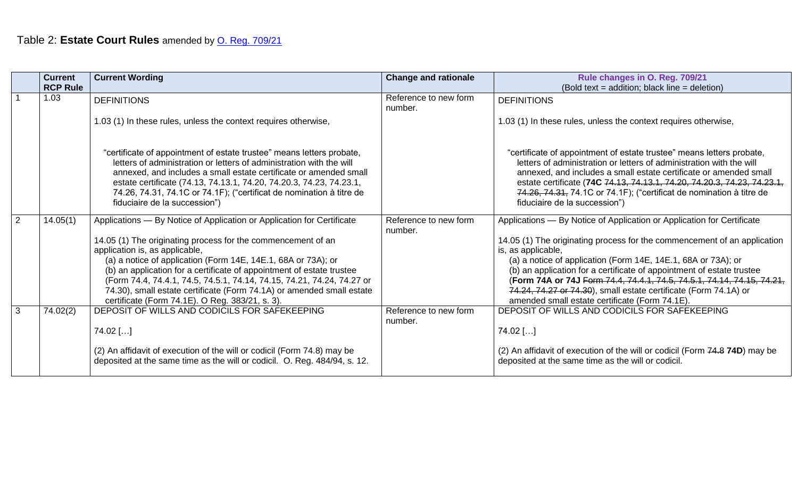|   | <b>Current</b><br><b>RCP Rule</b> | <b>Current Wording</b>                                                                                                                                                                                                                                                                                                                                                                                                                                                | <b>Change and rationale</b>      | Rule changes in O. Reg. 709/21<br>(Bold text = addition; black line = deletion)                                                                                                                                                                                                                                                                                                                                                                                  |
|---|-----------------------------------|-----------------------------------------------------------------------------------------------------------------------------------------------------------------------------------------------------------------------------------------------------------------------------------------------------------------------------------------------------------------------------------------------------------------------------------------------------------------------|----------------------------------|------------------------------------------------------------------------------------------------------------------------------------------------------------------------------------------------------------------------------------------------------------------------------------------------------------------------------------------------------------------------------------------------------------------------------------------------------------------|
|   | 1.03                              | <b>DEFINITIONS</b>                                                                                                                                                                                                                                                                                                                                                                                                                                                    | Reference to new form<br>number. | <b>DEFINITIONS</b>                                                                                                                                                                                                                                                                                                                                                                                                                                               |
|   |                                   | 1.03 (1) In these rules, unless the context requires otherwise,                                                                                                                                                                                                                                                                                                                                                                                                       |                                  | 1.03 (1) In these rules, unless the context requires otherwise,                                                                                                                                                                                                                                                                                                                                                                                                  |
|   |                                   | "certificate of appointment of estate trustee" means letters probate,<br>letters of administration or letters of administration with the will<br>annexed, and includes a small estate certificate or amended small<br>estate certificate (74.13, 74.13.1, 74.20, 74.20.3, 74.23, 74.23.1,<br>74.26, 74.31, 74.1C or 74.1F); ("certificat de nomination à titre de<br>fiduciaire de la succession")                                                                    |                                  | "certificate of appointment of estate trustee" means letters probate,<br>letters of administration or letters of administration with the will<br>annexed, and includes a small estate certificate or amended small<br>estate certificate (74C 74.13, 74.13.1, 74.20, 74.20.3, 74.23, 74.23.1,<br>74.26, 74.31, 74.1C or 74.1F); ("certificat de nomination à titre de<br>fiduciaire de la succession")                                                           |
| 2 | 14.05(1)                          | Applications - By Notice of Application or Application for Certificate<br>14.05 (1) The originating process for the commencement of an<br>application is, as applicable,<br>(a) a notice of application (Form 14E, 14E.1, 68A or 73A); or<br>(b) an application for a certificate of appointment of estate trustee<br>(Form 74.4, 74.4.1, 74.5, 74.5.1, 74.14, 74.15, 74.21, 74.24, 74.27 or<br>74.30), small estate certificate (Form 74.1A) or amended small estate | Reference to new form<br>number. | Applications - By Notice of Application or Application for Certificate<br>14.05 (1) The originating process for the commencement of an application<br>is, as applicable,<br>(a) a notice of application (Form 14E, 14E.1, 68A or 73A); or<br>(b) an application for a certificate of appointment of estate trustee<br>(Form 74A or 74J Form 74.4, 74.4.1, 74.5, 74.5.1, 74.14, 74.15, 74.21,<br>74.24, 74.27 or 74.30), small estate certificate (Form 74.1A) or |
| 3 | 74.02(2)                          | certificate (Form 74.1E). O Reg. 383/21, s. 3).<br>DEPOSIT OF WILLS AND CODICILS FOR SAFEKEEPING<br>$74.02$ []<br>(2) An affidavit of execution of the will or codicil (Form 74.8) may be<br>deposited at the same time as the will or codicil. O. Reg. 484/94, s. 12.                                                                                                                                                                                                | Reference to new form<br>number. | amended small estate certificate (Form 74.1E).<br>DEPOSIT OF WILLS AND CODICILS FOR SAFEKEEPING<br>$74.02$ []<br>(2) An affidavit of execution of the will or codicil (Form 74.8 74D) may be<br>deposited at the same time as the will or codicil.                                                                                                                                                                                                               |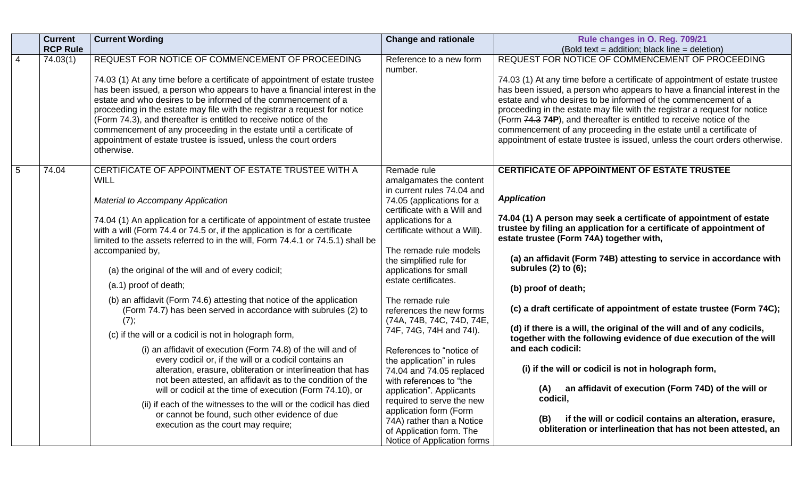|                | <b>Current</b><br><b>RCP Rule</b> | <b>Current Wording</b>                                                                                                                                                                                                                                                                                                                                                      | <b>Change and rationale</b>                                                                                                                 | Rule changes in O. Reg. 709/21<br>(Bold text = addition; black line = deletion)                                                                                                                                                                                                                                                                                                 |
|----------------|-----------------------------------|-----------------------------------------------------------------------------------------------------------------------------------------------------------------------------------------------------------------------------------------------------------------------------------------------------------------------------------------------------------------------------|---------------------------------------------------------------------------------------------------------------------------------------------|---------------------------------------------------------------------------------------------------------------------------------------------------------------------------------------------------------------------------------------------------------------------------------------------------------------------------------------------------------------------------------|
| $\overline{4}$ | 74.03(1)                          | REQUEST FOR NOTICE OF COMMENCEMENT OF PROCEEDING                                                                                                                                                                                                                                                                                                                            | Reference to a new form                                                                                                                     | REQUEST FOR NOTICE OF COMMENCEMENT OF PROCEEDING                                                                                                                                                                                                                                                                                                                                |
|                |                                   | 74.03 (1) At any time before a certificate of appointment of estate trustee<br>has been issued, a person who appears to have a financial interest in the<br>estate and who desires to be informed of the commencement of a<br>proceeding in the estate may file with the registrar a request for notice<br>(Form 74.3), and thereafter is entitled to receive notice of the | number.                                                                                                                                     | 74.03 (1) At any time before a certificate of appointment of estate trustee<br>has been issued, a person who appears to have a financial interest in the<br>estate and who desires to be informed of the commencement of a<br>proceeding in the estate may file with the registrar a request for notice<br>(Form 74.3 74P), and thereafter is entitled to receive notice of the |
|                |                                   | commencement of any proceeding in the estate until a certificate of<br>appointment of estate trustee is issued, unless the court orders<br>otherwise.                                                                                                                                                                                                                       |                                                                                                                                             | commencement of any proceeding in the estate until a certificate of<br>appointment of estate trustee is issued, unless the court orders otherwise.                                                                                                                                                                                                                              |
| $\overline{5}$ | 74.04                             | CERTIFICATE OF APPOINTMENT OF ESTATE TRUSTEE WITH A<br><b>WILL</b>                                                                                                                                                                                                                                                                                                          | Remade rule<br>amalgamates the content                                                                                                      | <b>CERTIFICATE OF APPOINTMENT OF ESTATE TRUSTEE</b>                                                                                                                                                                                                                                                                                                                             |
|                |                                   | <b>Material to Accompany Application</b>                                                                                                                                                                                                                                                                                                                                    | in current rules 74.04 and<br>74.05 (applications for a                                                                                     | <b>Application</b>                                                                                                                                                                                                                                                                                                                                                              |
|                |                                   | 74.04 (1) An application for a certificate of appointment of estate trustee<br>with a will (Form 74.4 or 74.5 or, if the application is for a certificate<br>limited to the assets referred to in the will, Form 74.4.1 or 74.5.1) shall be                                                                                                                                 | certificate with a Will and<br>applications for a<br>certificate without a Will).                                                           | 74.04 (1) A person may seek a certificate of appointment of estate<br>trustee by filing an application for a certificate of appointment of<br>estate trustee (Form 74A) together with,                                                                                                                                                                                          |
|                |                                   | accompanied by,<br>(a) the original of the will and of every codicil;                                                                                                                                                                                                                                                                                                       | The remade rule models<br>the simplified rule for<br>applications for small                                                                 | (a) an affidavit (Form 74B) attesting to service in accordance with<br>subrules (2) to (6);                                                                                                                                                                                                                                                                                     |
|                |                                   | (a.1) proof of death;                                                                                                                                                                                                                                                                                                                                                       | estate certificates.                                                                                                                        | (b) proof of death;                                                                                                                                                                                                                                                                                                                                                             |
|                |                                   | (b) an affidavit (Form 74.6) attesting that notice of the application<br>(Form 74.7) has been served in accordance with subrules (2) to<br>(7);                                                                                                                                                                                                                             | The remade rule<br>references the new forms<br>(74A, 74B, 74C, 74D, 74E,                                                                    | (c) a draft certificate of appointment of estate trustee (Form 74C);                                                                                                                                                                                                                                                                                                            |
|                |                                   | (c) if the will or a codicil is not in holograph form,                                                                                                                                                                                                                                                                                                                      | 74F, 74G, 74H and 74I).                                                                                                                     | (d) if there is a will, the original of the will and of any codicils,<br>together with the following evidence of due execution of the will                                                                                                                                                                                                                                      |
|                |                                   | (i) an affidavit of execution (Form 74.8) of the will and of<br>every codicil or, if the will or a codicil contains an                                                                                                                                                                                                                                                      | References to "notice of                                                                                                                    | and each codicil:                                                                                                                                                                                                                                                                                                                                                               |
|                |                                   | alteration, erasure, obliteration or interlineation that has                                                                                                                                                                                                                                                                                                                | the application" in rules<br>74.04 and 74.05 replaced                                                                                       | (i) if the will or codicil is not in holograph form,                                                                                                                                                                                                                                                                                                                            |
|                |                                   | not been attested, an affidavit as to the condition of the<br>will or codicil at the time of execution (Form 74.10), or                                                                                                                                                                                                                                                     | with references to "the<br>application". Applicants                                                                                         | an affidavit of execution (Form 74D) of the will or<br>(A)                                                                                                                                                                                                                                                                                                                      |
|                |                                   | (ii) if each of the witnesses to the will or the codicil has died<br>or cannot be found, such other evidence of due<br>execution as the court may require;                                                                                                                                                                                                                  | required to serve the new<br>application form (Form<br>74A) rather than a Notice<br>of Application form. The<br>Notice of Application forms | codicil,<br>if the will or codicil contains an alteration, erasure,<br>(B)<br>obliteration or interlineation that has not been attested, an                                                                                                                                                                                                                                     |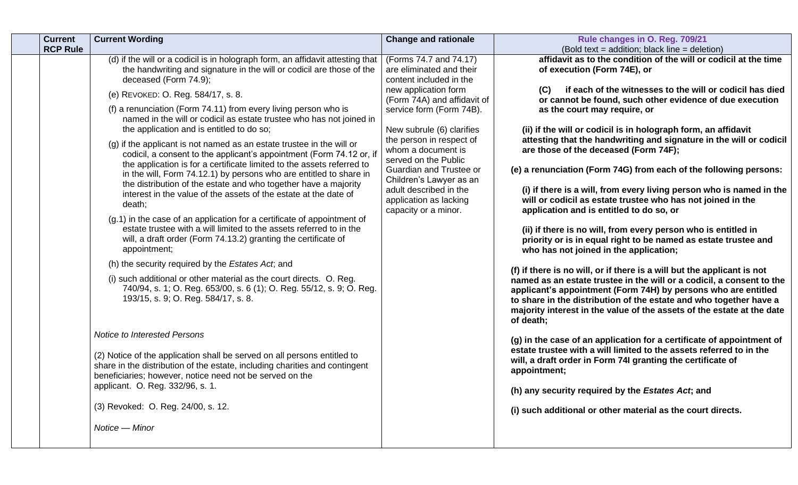| <b>Current</b><br><b>RCP Rule</b> | <b>Current Wording</b>                                                                                                                                                                                                                                                                                                                                                                                                                                                                                                                                                                                                                                                                                                                                                                                                                                                                                                                                                                                                                                                                                                                                                                                                                                                                                                                                                                                                                                                                                                                                                                                                                                                                               | <b>Change and rationale</b>                                                                                                                                                                                                                                                                                                                                                                               | Rule changes in O. Reg. 709/21<br>(Bold text = addition; black line = deletion)                                                                                                                                                                                                                                                                                                                                                                                                                                                                                                                                                                                                                                                                                                                                                                                                                                                                                                                                                                                                                                                                                                                                                                                                                                                                                                                                                                                                                                                                                                                                               |
|-----------------------------------|------------------------------------------------------------------------------------------------------------------------------------------------------------------------------------------------------------------------------------------------------------------------------------------------------------------------------------------------------------------------------------------------------------------------------------------------------------------------------------------------------------------------------------------------------------------------------------------------------------------------------------------------------------------------------------------------------------------------------------------------------------------------------------------------------------------------------------------------------------------------------------------------------------------------------------------------------------------------------------------------------------------------------------------------------------------------------------------------------------------------------------------------------------------------------------------------------------------------------------------------------------------------------------------------------------------------------------------------------------------------------------------------------------------------------------------------------------------------------------------------------------------------------------------------------------------------------------------------------------------------------------------------------------------------------------------------------|-----------------------------------------------------------------------------------------------------------------------------------------------------------------------------------------------------------------------------------------------------------------------------------------------------------------------------------------------------------------------------------------------------------|-------------------------------------------------------------------------------------------------------------------------------------------------------------------------------------------------------------------------------------------------------------------------------------------------------------------------------------------------------------------------------------------------------------------------------------------------------------------------------------------------------------------------------------------------------------------------------------------------------------------------------------------------------------------------------------------------------------------------------------------------------------------------------------------------------------------------------------------------------------------------------------------------------------------------------------------------------------------------------------------------------------------------------------------------------------------------------------------------------------------------------------------------------------------------------------------------------------------------------------------------------------------------------------------------------------------------------------------------------------------------------------------------------------------------------------------------------------------------------------------------------------------------------------------------------------------------------------------------------------------------------|
|                                   | (d) if the will or a codicil is in holograph form, an affidavit attesting that<br>the handwriting and signature in the will or codicil are those of the<br>deceased (Form 74.9);<br>(e) REVOKED: O. Reg. 584/17, s. 8.<br>(f) a renunciation (Form 74.11) from every living person who is<br>named in the will or codicil as estate trustee who has not joined in<br>the application and is entitled to do so;<br>$(g)$ if the applicant is not named as an estate trustee in the will or<br>codicil, a consent to the applicant's appointment (Form 74.12 or, if<br>the application is for a certificate limited to the assets referred to<br>in the will, Form 74.12.1) by persons who are entitled to share in<br>the distribution of the estate and who together have a majority<br>interest in the value of the assets of the estate at the date of<br>death;<br>(g.1) in the case of an application for a certificate of appointment of<br>estate trustee with a will limited to the assets referred to in the<br>will, a draft order (Form 74.13.2) granting the certificate of<br>appointment;<br>(h) the security required by the Estates Act; and<br>(i) such additional or other material as the court directs. O. Reg.<br>740/94, s. 1; O. Reg. 653/00, s. 6 (1); O. Reg. 55/12, s. 9; O. Reg.<br>193/15, s. 9; O. Reg. 584/17, s. 8.<br>Notice to Interested Persons<br>(2) Notice of the application shall be served on all persons entitled to<br>share in the distribution of the estate, including charities and contingent<br>beneficiaries; however, notice need not be served on the<br>applicant. O. Reg. 332/96, s. 1.<br>(3) Revoked: O. Reg. 24/00, s. 12.<br>Notice - Minor | (Forms 74.7 and 74.17)<br>are eliminated and their<br>content included in the<br>new application form<br>(Form 74A) and affidavit of<br>service form (Form 74B).<br>New subrule (6) clarifies<br>the person in respect of<br>whom a document is<br>served on the Public<br>Guardian and Trustee or<br>Children's Lawyer as an<br>adult described in the<br>application as lacking<br>capacity or a minor. | affidavit as to the condition of the will or codicil at the time<br>of execution (Form 74E), or<br>if each of the witnesses to the will or codicil has died<br>(C)<br>or cannot be found, such other evidence of due execution<br>as the court may require, or<br>(ii) if the will or codicil is in holograph form, an affidavit<br>attesting that the handwriting and signature in the will or codicil<br>are those of the deceased (Form 74F);<br>(e) a renunciation (Form 74G) from each of the following persons:<br>(i) if there is a will, from every living person who is named in the<br>will or codicil as estate trustee who has not joined in the<br>application and is entitled to do so, or<br>(ii) if there is no will, from every person who is entitled in<br>priority or is in equal right to be named as estate trustee and<br>who has not joined in the application;<br>(f) if there is no will, or if there is a will but the applicant is not<br>named as an estate trustee in the will or a codicil, a consent to the<br>applicant's appointment (Form 74H) by persons who are entitled<br>to share in the distribution of the estate and who together have a<br>majority interest in the value of the assets of the estate at the date<br>of death;<br>(g) in the case of an application for a certificate of appointment of<br>estate trustee with a will limited to the assets referred to in the<br>will, a draft order in Form 74I granting the certificate of<br>appointment;<br>(h) any security required by the Estates Act; and<br>(i) such additional or other material as the court directs. |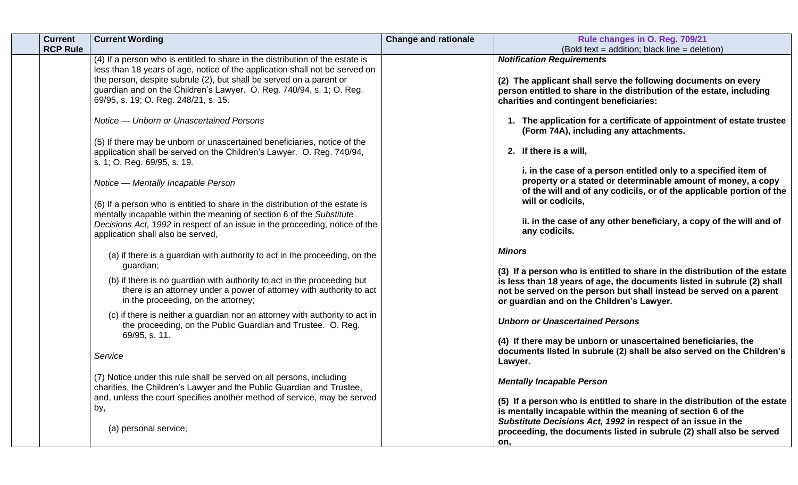| <b>Current</b><br><b>RCP Rule</b> | <b>Current Wording</b>                                                                                                                                                                                                                                                    | <b>Change and rationale</b> | Rule changes in O. Reg. 709/21<br>(Bold text = addition; black line = deletion)                                                                                                                                                                                           |
|-----------------------------------|---------------------------------------------------------------------------------------------------------------------------------------------------------------------------------------------------------------------------------------------------------------------------|-----------------------------|---------------------------------------------------------------------------------------------------------------------------------------------------------------------------------------------------------------------------------------------------------------------------|
|                                   | (4) If a person who is entitled to share in the distribution of the estate is                                                                                                                                                                                             |                             | <b>Notification Requirements</b>                                                                                                                                                                                                                                          |
|                                   | less than 18 years of age, notice of the application shall not be served on<br>the person, despite subrule (2), but shall be served on a parent or<br>guardian and on the Children's Lawyer. O. Reg. 740/94, s. 1; O. Reg.<br>69/95, s. 19; O. Reg. 248/21, s. 15.        |                             | (2) The applicant shall serve the following documents on every<br>person entitled to share in the distribution of the estate, including<br>charities and contingent beneficiaries:                                                                                        |
|                                   |                                                                                                                                                                                                                                                                           |                             |                                                                                                                                                                                                                                                                           |
|                                   | Notice — Unborn or Unascertained Persons                                                                                                                                                                                                                                  |                             | 1. The application for a certificate of appointment of estate trustee<br>(Form 74A), including any attachments.                                                                                                                                                           |
|                                   | (5) If there may be unborn or unascertained beneficiaries, notice of the<br>application shall be served on the Children's Lawyer. O. Reg. 740/94,<br>s. 1; O. Reg. 69/95, s. 19.                                                                                          |                             | 2. If there is a will,                                                                                                                                                                                                                                                    |
|                                   | Notice — Mentally Incapable Person                                                                                                                                                                                                                                        |                             | i. in the case of a person entitled only to a specified item of<br>property or a stated or determinable amount of money, a copy<br>of the will and of any codicils, or of the applicable portion of the<br>will or codicils,                                              |
|                                   | (6) If a person who is entitled to share in the distribution of the estate is<br>mentally incapable within the meaning of section 6 of the Substitute<br>Decisions Act, 1992 in respect of an issue in the proceeding, notice of the<br>application shall also be served, |                             | ii. in the case of any other beneficiary, a copy of the will and of<br>any codicils.                                                                                                                                                                                      |
|                                   | (a) if there is a guardian with authority to act in the proceeding, on the<br>guardian;                                                                                                                                                                                   |                             | <b>Minors</b>                                                                                                                                                                                                                                                             |
|                                   | (b) if there is no guardian with authority to act in the proceeding but<br>there is an attorney under a power of attorney with authority to act<br>in the proceeding, on the attorney;                                                                                    |                             | (3) If a person who is entitled to share in the distribution of the estate<br>is less than 18 years of age, the documents listed in subrule (2) shall<br>not be served on the person but shall instead be served on a parent<br>or guardian and on the Children's Lawyer. |
|                                   | (c) if there is neither a guardian nor an attorney with authority to act in<br>the proceeding, on the Public Guardian and Trustee. O. Reg.                                                                                                                                |                             | <b>Unborn or Unascertained Persons</b>                                                                                                                                                                                                                                    |
|                                   | 69/95, s. 11.<br>Service                                                                                                                                                                                                                                                  |                             | (4) If there may be unborn or unascertained beneficiaries, the<br>documents listed in subrule (2) shall be also served on the Children's<br>Lawyer.                                                                                                                       |
|                                   | (7) Notice under this rule shall be served on all persons, including<br>charities, the Children's Lawyer and the Public Guardian and Trustee,                                                                                                                             |                             | <b>Mentally Incapable Person</b>                                                                                                                                                                                                                                          |
|                                   | and, unless the court specifies another method of service, may be served<br>by,                                                                                                                                                                                           |                             | (5) If a person who is entitled to share in the distribution of the estate<br>is mentally incapable within the meaning of section 6 of the                                                                                                                                |
|                                   | (a) personal service;                                                                                                                                                                                                                                                     |                             | Substitute Decisions Act, 1992 in respect of an issue in the<br>proceeding, the documents listed in subrule (2) shall also be served<br>on,                                                                                                                               |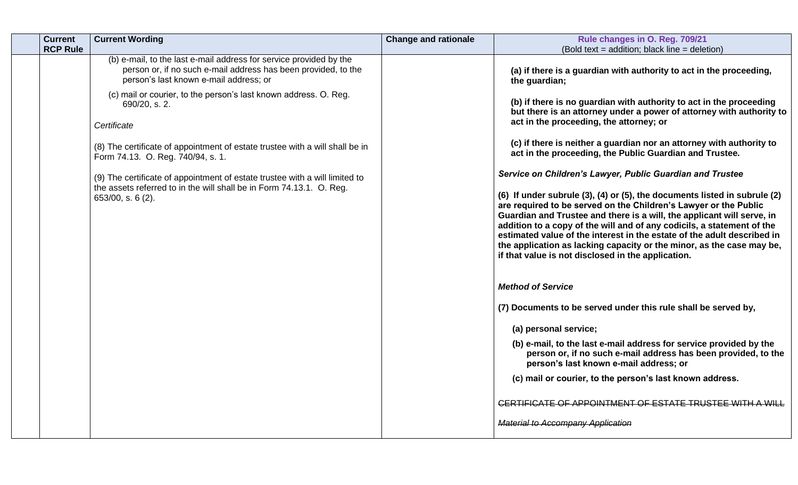| <b>Current</b>  | <b>Current Wording</b>                                                                                                                                                         | <b>Change and rationale</b> | Rule changes in O. Reg. 709/21                                                                                                                                                                                                                                                                                                                                                                                                                                                                              |
|-----------------|--------------------------------------------------------------------------------------------------------------------------------------------------------------------------------|-----------------------------|-------------------------------------------------------------------------------------------------------------------------------------------------------------------------------------------------------------------------------------------------------------------------------------------------------------------------------------------------------------------------------------------------------------------------------------------------------------------------------------------------------------|
| <b>RCP Rule</b> |                                                                                                                                                                                |                             | (Bold text = addition; black line = deletion)                                                                                                                                                                                                                                                                                                                                                                                                                                                               |
|                 | (b) e-mail, to the last e-mail address for service provided by the<br>person or, if no such e-mail address has been provided, to the<br>person's last known e-mail address; or |                             | (a) if there is a guardian with authority to act in the proceeding,<br>the guardian;                                                                                                                                                                                                                                                                                                                                                                                                                        |
|                 | (c) mail or courier, to the person's last known address. O. Reg.<br>690/20, s. 2.                                                                                              |                             | (b) if there is no guardian with authority to act in the proceeding<br>but there is an attorney under a power of attorney with authority to                                                                                                                                                                                                                                                                                                                                                                 |
|                 | Certificate                                                                                                                                                                    |                             | act in the proceeding, the attorney; or                                                                                                                                                                                                                                                                                                                                                                                                                                                                     |
|                 | (8) The certificate of appointment of estate trustee with a will shall be in<br>Form 74.13. O. Reg. 740/94, s. 1.                                                              |                             | (c) if there is neither a guardian nor an attorney with authority to<br>act in the proceeding, the Public Guardian and Trustee.                                                                                                                                                                                                                                                                                                                                                                             |
|                 | (9) The certificate of appointment of estate trustee with a will limited to                                                                                                    |                             | Service on Children's Lawyer, Public Guardian and Trustee                                                                                                                                                                                                                                                                                                                                                                                                                                                   |
|                 | the assets referred to in the will shall be in Form 74.13.1. O. Reg.<br>$653/00$ , s. 6 (2).                                                                                   |                             | (6) If under subrule (3), (4) or (5), the documents listed in subrule (2)<br>are required to be served on the Children's Lawyer or the Public<br>Guardian and Trustee and there is a will, the applicant will serve, in<br>addition to a copy of the will and of any codicils, a statement of the<br>estimated value of the interest in the estate of the adult described in<br>the application as lacking capacity or the minor, as the case may be,<br>if that value is not disclosed in the application. |
|                 |                                                                                                                                                                                |                             | <b>Method of Service</b>                                                                                                                                                                                                                                                                                                                                                                                                                                                                                    |
|                 |                                                                                                                                                                                |                             | (7) Documents to be served under this rule shall be served by,                                                                                                                                                                                                                                                                                                                                                                                                                                              |
|                 |                                                                                                                                                                                |                             | (a) personal service;                                                                                                                                                                                                                                                                                                                                                                                                                                                                                       |
|                 |                                                                                                                                                                                |                             | (b) e-mail, to the last e-mail address for service provided by the<br>person or, if no such e-mail address has been provided, to the<br>person's last known e-mail address; or                                                                                                                                                                                                                                                                                                                              |
|                 |                                                                                                                                                                                |                             | (c) mail or courier, to the person's last known address.                                                                                                                                                                                                                                                                                                                                                                                                                                                    |
|                 |                                                                                                                                                                                |                             | <b>CERTIFICATE OF APPOINTMENT OF ESTATE TRUSTEE WITH A WILL</b>                                                                                                                                                                                                                                                                                                                                                                                                                                             |
|                 |                                                                                                                                                                                |                             | <b>Material to Accompany Application</b>                                                                                                                                                                                                                                                                                                                                                                                                                                                                    |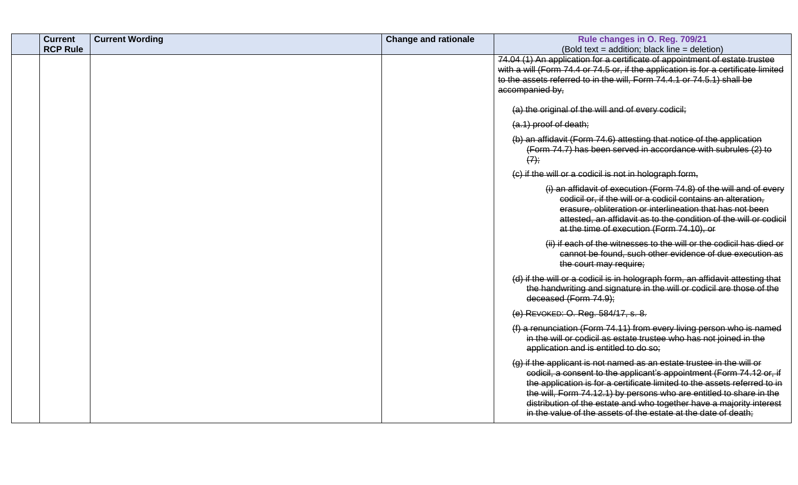| <b>Current</b>  | <b>Current Wording</b> | <b>Change and rationale</b> | Rule changes in O. Reg. 709/21                                                                                                                                                                                                                                                                                                                                                                                                              |
|-----------------|------------------------|-----------------------------|---------------------------------------------------------------------------------------------------------------------------------------------------------------------------------------------------------------------------------------------------------------------------------------------------------------------------------------------------------------------------------------------------------------------------------------------|
| <b>RCP Rule</b> |                        |                             | (Bold text = addition; black line = deletion)                                                                                                                                                                                                                                                                                                                                                                                               |
|                 |                        |                             | 74.04 (1) An application for a certificate of appointment of estate trustee                                                                                                                                                                                                                                                                                                                                                                 |
|                 |                        |                             | with a will (Form 74.4 or 74.5 or, if the application is for a certificate limited                                                                                                                                                                                                                                                                                                                                                          |
|                 |                        |                             | to the assets referred to in the will, Form 74.4.1 or 74.5.1) shall be                                                                                                                                                                                                                                                                                                                                                                      |
|                 |                        |                             | accompanied by,                                                                                                                                                                                                                                                                                                                                                                                                                             |
|                 |                        |                             | (a) the original of the will and of every codicil;                                                                                                                                                                                                                                                                                                                                                                                          |
|                 |                        |                             | (a.1) proof of death;                                                                                                                                                                                                                                                                                                                                                                                                                       |
|                 |                        |                             | (b) an affidavit (Form 74.6) attesting that notice of the application<br>(Form 74.7) has been served in accordance with subrules (2) to<br>$(7)$ ;                                                                                                                                                                                                                                                                                          |
|                 |                        |                             | (c) if the will or a codicil is not in holograph form,                                                                                                                                                                                                                                                                                                                                                                                      |
|                 |                        |                             | (i) an affidavit of execution (Form 74.8) of the will and of every<br>codicil or, if the will or a codicil contains an alteration,<br>erasure, obliteration or interlineation that has not been<br>attested, an affidavit as to the condition of the will or codicil<br>at the time of execution (Form 74.10), or                                                                                                                           |
|                 |                        |                             | (ii) if each of the witnesses to the will or the codicil has died or<br>cannot be found, such other evidence of due execution as<br>the court may require;                                                                                                                                                                                                                                                                                  |
|                 |                        |                             | (d) if the will or a codicil is in holograph form, an affidavit attesting that<br>the handwriting and signature in the will or codicil are those of the<br>deceased (Form 74.9);                                                                                                                                                                                                                                                            |
|                 |                        |                             | (e) REVOKED: O. Reg. 584/17, s. 8.                                                                                                                                                                                                                                                                                                                                                                                                          |
|                 |                        |                             | (f) a renunciation (Form 74.11) from every living person who is named<br>in the will or codicil as estate trustee who has not joined in the<br>application and is entitled to do so;                                                                                                                                                                                                                                                        |
|                 |                        |                             | (g) if the applicant is not named as an estate trustee in the will or<br>codicil, a consent to the applicant's appointment (Form 74.12 or, if<br>the application is for a certificate limited to the assets referred to in<br>the will, Form 74.12.1) by persons who are entitled to share in the<br>distribution of the estate and who together have a majority interest<br>in the value of the assets of the estate at the date of death; |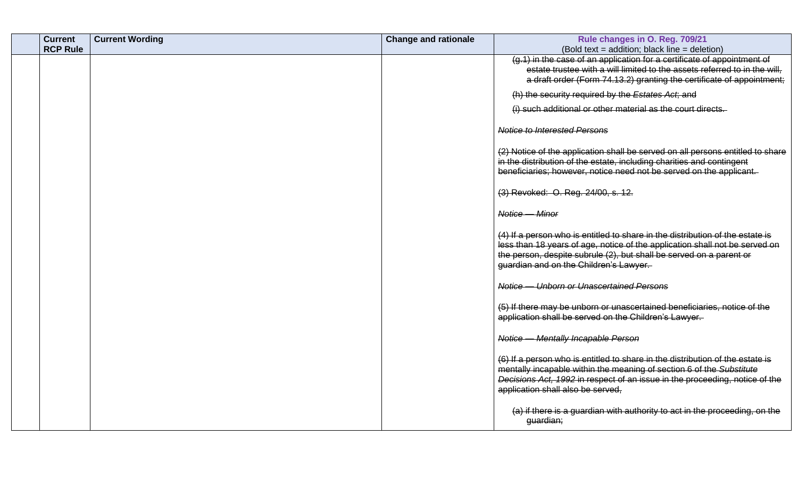| <b>Current</b>  | <b>Current Wording</b> | <b>Change and rationale</b> | Rule changes in O. Reg. 709/21                                                                                                                               |
|-----------------|------------------------|-----------------------------|--------------------------------------------------------------------------------------------------------------------------------------------------------------|
| <b>RCP Rule</b> |                        |                             | (Bold text = addition; black line = deletion)                                                                                                                |
|                 |                        |                             | (g.1) in the case of an application for a certificate of appointment of                                                                                      |
|                 |                        |                             | estate trustee with a will limited to the assets referred to in the will,                                                                                    |
|                 |                        |                             | a draft order (Form 74.13.2) granting the certificate of appointment;                                                                                        |
|                 |                        |                             | (h) the security required by the Estates Act, and                                                                                                            |
|                 |                        |                             | (i) such additional or other material as the court directs.                                                                                                  |
|                 |                        |                             | <b>Notice to Interested Persons</b>                                                                                                                          |
|                 |                        |                             | (2) Notice of the application shall be served on all persons entitled to share                                                                               |
|                 |                        |                             | in the distribution of the estate, including charities and contingent                                                                                        |
|                 |                        |                             | beneficiaries; however, notice need not be served on the applicant.                                                                                          |
|                 |                        |                             | (3) Revoked: O. Reg. 24/00, s. 12.                                                                                                                           |
|                 |                        |                             | Notice <i>Minor</i>                                                                                                                                          |
|                 |                        |                             | (4) If a person who is entitled to share in the distribution of the estate is<br>less than 18 years of age, notice of the application shall not be served on |
|                 |                        |                             | the person, despite subrule (2), but shall be served on a parent or<br>guardian and on the Children's Lawyer.                                                |
|                 |                        |                             | Notice — Unborn or Unascertained Persons                                                                                                                     |
|                 |                        |                             | (5) If there may be unborn or unascertained beneficiaries, notice of the<br>application shall be served on the Children's Lawyer.                            |
|                 |                        |                             | Notice - Mentally Incapable Person                                                                                                                           |
|                 |                        |                             | (6) If a person who is entitled to share in the distribution of the estate is                                                                                |
|                 |                        |                             | mentally incapable within the meaning of section 6 of the Substitute                                                                                         |
|                 |                        |                             | Decisions Act, 1992 in respect of an issue in the proceeding, notice of the<br>application shall also be served,                                             |
|                 |                        |                             | (a) if there is a guardian with authority to act in the proceeding, on the<br>guardian;                                                                      |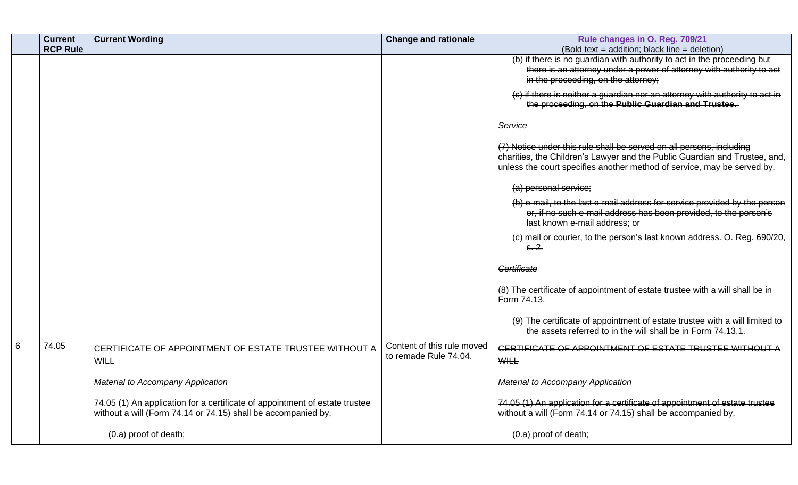| <b>Current</b><br><b>RCP Rule</b> | <b>Current Wording</b>                                                                                                                       | <b>Change and rationale</b>                         | Rule changes in O. Reg. 709/21<br>(Bold text = addition; black line = deletion)                                                                                                                                               |
|-----------------------------------|----------------------------------------------------------------------------------------------------------------------------------------------|-----------------------------------------------------|-------------------------------------------------------------------------------------------------------------------------------------------------------------------------------------------------------------------------------|
|                                   |                                                                                                                                              |                                                     | (b) if there is no guardian with authority to act in the proceeding but<br>there is an attorney under a power of attorney with authority to act<br>in the proceeding, on the attorney;                                        |
|                                   |                                                                                                                                              |                                                     | (c) if there is neither a guardian nor an attorney with authority to act in<br>the proceeding, on the Public Guardian and Trustee.                                                                                            |
|                                   |                                                                                                                                              |                                                     | Service                                                                                                                                                                                                                       |
|                                   |                                                                                                                                              |                                                     | (7) Notice under this rule shall be served on all persons, including<br>charities, the Children's Lawyer and the Public Guardian and Trustee, and,<br>unless the court specifies another method of service, may be served by, |
|                                   |                                                                                                                                              |                                                     | (a) personal service;                                                                                                                                                                                                         |
|                                   |                                                                                                                                              |                                                     | (b) e-mail, to the last e-mail address for service provided by the person<br>or, if no such e-mail address has been provided, to the person's<br>last known e-mail address; or                                                |
|                                   |                                                                                                                                              |                                                     | (c) mail or courier, to the person's last known address. O. Reg. 690/20,<br><del>s. 2.</del>                                                                                                                                  |
|                                   |                                                                                                                                              |                                                     | Certificate                                                                                                                                                                                                                   |
|                                   |                                                                                                                                              |                                                     | (8) The certificate of appointment of estate trustee with a will shall be in<br>Form 74.13.                                                                                                                                   |
|                                   |                                                                                                                                              |                                                     | (9) The certificate of appointment of estate trustee with a will limited to<br>the assets referred to in the will shall be in Form 74.13.1.                                                                                   |
| 6<br>74.05                        | CERTIFICATE OF APPOINTMENT OF ESTATE TRUSTEE WITHOUT A<br><b>WILL</b>                                                                        | Content of this rule moved<br>to remade Rule 74.04. | CERTIFICATE OF APPOINTMENT OF ESTATE TRUSTEE WITHOUT A<br><b>WILL</b>                                                                                                                                                         |
|                                   | Material to Accompany Application                                                                                                            |                                                     | <b>Material to Accompany Application</b>                                                                                                                                                                                      |
|                                   | 74.05 (1) An application for a certificate of appointment of estate trustee<br>without a will (Form 74.14 or 74.15) shall be accompanied by, |                                                     | 74.05 (1) An application for a certificate of appointment of estate trustee<br>without a will (Form 74.14 or 74.15) shall be accompanied by,                                                                                  |
|                                   | (0.a) proof of death;                                                                                                                        |                                                     | $(0.a)$ proof of death;                                                                                                                                                                                                       |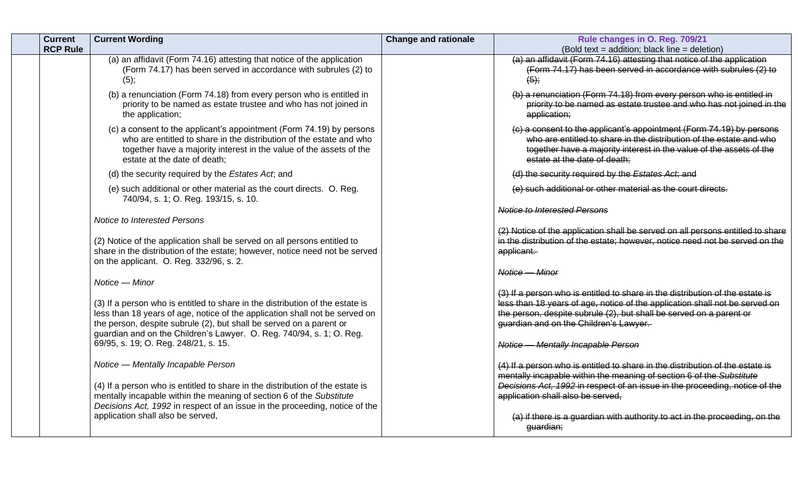| <b>Current</b><br><b>RCP Rule</b> | <b>Current Wording</b>                                                                                                                                                                                                                                                                                                                              | <b>Change and rationale</b> | Rule changes in O. Reg. 709/21<br>(Bold text = addition; black line = deletion)                                                                                                                                                                                                                                     |
|-----------------------------------|-----------------------------------------------------------------------------------------------------------------------------------------------------------------------------------------------------------------------------------------------------------------------------------------------------------------------------------------------------|-----------------------------|---------------------------------------------------------------------------------------------------------------------------------------------------------------------------------------------------------------------------------------------------------------------------------------------------------------------|
|                                   | (a) an affidavit (Form 74.16) attesting that notice of the application<br>(Form 74.17) has been served in accordance with subrules (2) to<br>(5);                                                                                                                                                                                                   |                             | (a) an affidavit (Form 74.16) attesting that notice of the application<br>(Form 74.17) has been served in accordance with subrules (2) to<br>$(5)$ ;                                                                                                                                                                |
|                                   | (b) a renunciation (Form 74.18) from every person who is entitled in<br>priority to be named as estate trustee and who has not joined in<br>the application;                                                                                                                                                                                        |                             | (b) a renunciation (Form 74.18) from every person who is entitled in<br>priority to be named as estate trustee and who has not joined in the<br>application;                                                                                                                                                        |
|                                   | (c) a consent to the applicant's appointment (Form 74.19) by persons<br>who are entitled to share in the distribution of the estate and who<br>together have a majority interest in the value of the assets of the<br>estate at the date of death;                                                                                                  |                             | (c) a consent to the applicant's appointment (Form 74.19) by persons<br>who are entitled to share in the distribution of the estate and who<br>together have a majority interest in the value of the assets of the<br>estate at the date of death;                                                                  |
|                                   | (d) the security required by the Estates Act, and                                                                                                                                                                                                                                                                                                   |                             | (d) the security required by the Estates Act, and                                                                                                                                                                                                                                                                   |
|                                   | (e) such additional or other material as the court directs. O. Reg.<br>740/94, s. 1; O. Reg. 193/15, s. 10.                                                                                                                                                                                                                                         |                             | (e) such additional or other material as the court directs.                                                                                                                                                                                                                                                         |
|                                   |                                                                                                                                                                                                                                                                                                                                                     |                             | <b>Notice to Interested Persons</b>                                                                                                                                                                                                                                                                                 |
|                                   | Notice to Interested Persons<br>(2) Notice of the application shall be served on all persons entitled to<br>share in the distribution of the estate; however, notice need not be served<br>on the applicant. O. Reg. 332/96, s. 2.                                                                                                                  |                             | (2) Notice of the application shall be served on all persons entitled to share<br>in the distribution of the estate; however, notice need not be served on the<br>applicant.<br>Notice - Minor                                                                                                                      |
|                                   | Notice - Minor                                                                                                                                                                                                                                                                                                                                      |                             |                                                                                                                                                                                                                                                                                                                     |
|                                   | (3) If a person who is entitled to share in the distribution of the estate is<br>less than 18 years of age, notice of the application shall not be served on<br>the person, despite subrule (2), but shall be served on a parent or<br>guardian and on the Children's Lawyer. O. Reg. 740/94, s. 1; O. Reg.<br>69/95, s. 19; O. Reg. 248/21, s. 15. |                             | (3) If a person who is entitled to share in the distribution of the estate is<br>less than 18 years of age, notice of the application shall not be served on<br>the person, despite subrule (2), but shall be served on a parent or<br>guardian and on the Children's Lawyer.<br>Notice - Mentally Incapable Person |
|                                   | Notice - Mentally Incapable Person<br>(4) If a person who is entitled to share in the distribution of the estate is<br>mentally incapable within the meaning of section 6 of the Substitute<br>Decisions Act, 1992 in respect of an issue in the proceeding, notice of the                                                                          |                             | (4) If a person who is entitled to share in the distribution of the estate is<br>mentally incapable within the meaning of section 6 of the Substitute<br>Decisions Act, 1992 in respect of an issue in the proceeding, notice of the<br>application shall also be served,                                           |
|                                   | application shall also be served,                                                                                                                                                                                                                                                                                                                   |                             | (a) if there is a guardian with authority to act in the proceeding, on the<br>guardian;                                                                                                                                                                                                                             |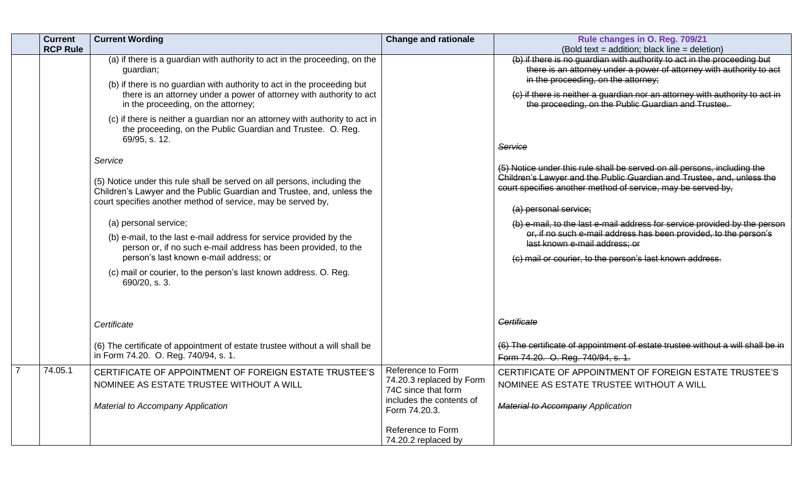| <b>Current</b>  | <b>Current Wording</b>                                                                                                                                                                                                                                                                                                                                                                                                                                                                                                                                                                                            | <b>Change and rationale</b>                                                                                                                                   | Rule changes in O. Reg. 709/21                                                                                                                                                                                                                                                                                                                                                                                                                                                                                                                                                                                 |
|-----------------|-------------------------------------------------------------------------------------------------------------------------------------------------------------------------------------------------------------------------------------------------------------------------------------------------------------------------------------------------------------------------------------------------------------------------------------------------------------------------------------------------------------------------------------------------------------------------------------------------------------------|---------------------------------------------------------------------------------------------------------------------------------------------------------------|----------------------------------------------------------------------------------------------------------------------------------------------------------------------------------------------------------------------------------------------------------------------------------------------------------------------------------------------------------------------------------------------------------------------------------------------------------------------------------------------------------------------------------------------------------------------------------------------------------------|
| <b>RCP Rule</b> | (a) if there is a guardian with authority to act in the proceeding, on the<br>guardian;<br>(b) if there is no guardian with authority to act in the proceeding but<br>there is an attorney under a power of attorney with authority to act<br>in the proceeding, on the attorney;<br>(c) if there is neither a guardian nor an attorney with authority to act in<br>the proceeding, on the Public Guardian and Trustee. O. Reg.<br>69/95, s. 12.<br>Service<br>(5) Notice under this rule shall be served on all persons, including the<br>Children's Lawyer and the Public Guardian and Trustee, and, unless the |                                                                                                                                                               | (Bold text = addition; black line = deletion)<br>(b) if there is no guardian with authority to act in the proceeding but<br>there is an attorney under a power of attorney with authority to act<br>in the proceeding, on the attorney;<br>(c) if there is neither a guardian nor an attorney with authority to act in<br>the proceeding, on the Public Guardian and Trustee.<br>Service<br>(5) Notice under this rule shall be served on all persons, including the<br>Children's Lawyer and the Public Guardian and Trustee, and, unless the<br>court specifies another method of service, may be served by, |
|                 | court specifies another method of service, may be served by,<br>(a) personal service;<br>(b) e-mail, to the last e-mail address for service provided by the<br>person or, if no such e-mail address has been provided, to the<br>person's last known e-mail address; or<br>(c) mail or courier, to the person's last known address. O. Reg.<br>690/20, s. 3.                                                                                                                                                                                                                                                      |                                                                                                                                                               | (a) personal service;<br>(b) e-mail, to the last e-mail address for service provided by the person<br>or, if no such e-mail address has been provided, to the person's<br>last known e-mail address; or<br>(c) mail or courier, to the person's last known address.                                                                                                                                                                                                                                                                                                                                            |
|                 | Certificate<br>(6) The certificate of appointment of estate trustee without a will shall be                                                                                                                                                                                                                                                                                                                                                                                                                                                                                                                       |                                                                                                                                                               | Certificate<br>(6) The certificate of appointment of estate trustee without a will shall be in                                                                                                                                                                                                                                                                                                                                                                                                                                                                                                                 |
| 74.05.1         | in Form 74.20. O. Reg. 740/94, s. 1.<br>CERTIFICATE OF APPOINTMENT OF FOREIGN ESTATE TRUSTEE'S<br>NOMINEE AS ESTATE TRUSTEE WITHOUT A WILL<br>Material to Accompany Application                                                                                                                                                                                                                                                                                                                                                                                                                                   | Reference to Form<br>74.20.3 replaced by Form<br>74C since that form<br>includes the contents of<br>Form 74.20.3.<br>Reference to Form<br>74.20.2 replaced by | Form 74.20. O. Reg. 740/94, s. 1.<br>CERTIFICATE OF APPOINTMENT OF FOREIGN ESTATE TRUSTEE'S<br>NOMINEE AS ESTATE TRUSTEE WITHOUT A WILL<br><b>Material to Accompany Application</b>                                                                                                                                                                                                                                                                                                                                                                                                                            |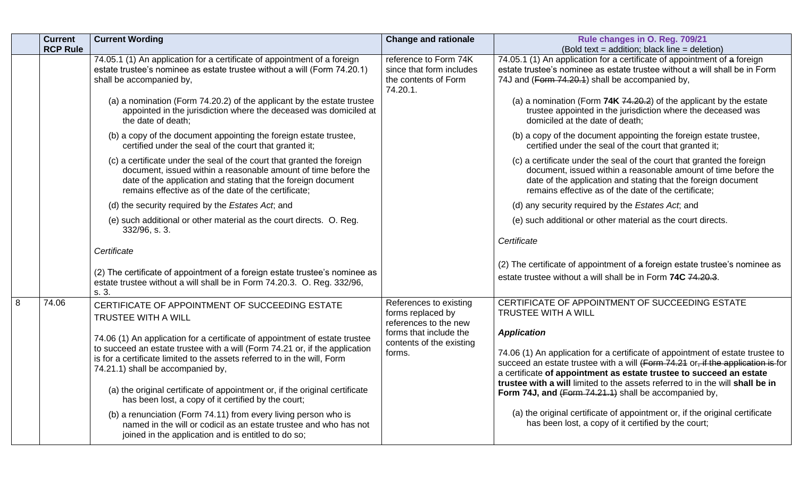|   | <b>Current</b><br><b>RCP Rule</b> | <b>Current Wording</b>                                                                                                                                                                                                                                                                                                                                     | <b>Change and rationale</b>                                                           | Rule changes in O. Reg. 709/21<br>(Bold text = addition; black line = deletion)                                                                                                                                                                                                                                                                                                                          |
|---|-----------------------------------|------------------------------------------------------------------------------------------------------------------------------------------------------------------------------------------------------------------------------------------------------------------------------------------------------------------------------------------------------------|---------------------------------------------------------------------------------------|----------------------------------------------------------------------------------------------------------------------------------------------------------------------------------------------------------------------------------------------------------------------------------------------------------------------------------------------------------------------------------------------------------|
|   |                                   | 74.05.1 (1) An application for a certificate of appointment of a foreign<br>estate trustee's nominee as estate trustee without a will (Form 74.20.1)<br>shall be accompanied by,                                                                                                                                                                           | reference to Form 74K<br>since that form includes<br>the contents of Form<br>74.20.1. | 74.05.1 (1) An application for a certificate of appointment of a foreign<br>estate trustee's nominee as estate trustee without a will shall be in Form<br>74J and (Form 74.20.1) shall be accompanied by,                                                                                                                                                                                                |
|   |                                   | (a) a nomination (Form 74.20.2) of the applicant by the estate trustee<br>appointed in the jurisdiction where the deceased was domiciled at<br>the date of death;                                                                                                                                                                                          |                                                                                       | (a) a nomination (Form 74K 74.20.2) of the applicant by the estate<br>trustee appointed in the jurisdiction where the deceased was<br>domiciled at the date of death;                                                                                                                                                                                                                                    |
|   |                                   | (b) a copy of the document appointing the foreign estate trustee,<br>certified under the seal of the court that granted it;                                                                                                                                                                                                                                |                                                                                       | (b) a copy of the document appointing the foreign estate trustee,<br>certified under the seal of the court that granted it;                                                                                                                                                                                                                                                                              |
|   |                                   | (c) a certificate under the seal of the court that granted the foreign<br>document, issued within a reasonable amount of time before the<br>date of the application and stating that the foreign document<br>remains effective as of the date of the certificate;                                                                                          |                                                                                       | (c) a certificate under the seal of the court that granted the foreign<br>document, issued within a reasonable amount of time before the<br>date of the application and stating that the foreign document<br>remains effective as of the date of the certificate;                                                                                                                                        |
|   |                                   | (d) the security required by the Estates Act, and                                                                                                                                                                                                                                                                                                          |                                                                                       | (d) any security required by the Estates Act, and                                                                                                                                                                                                                                                                                                                                                        |
|   |                                   | (e) such additional or other material as the court directs. O. Reg.<br>332/96, s. 3.                                                                                                                                                                                                                                                                       |                                                                                       | (e) such additional or other material as the court directs.                                                                                                                                                                                                                                                                                                                                              |
|   |                                   | Certificate                                                                                                                                                                                                                                                                                                                                                |                                                                                       | Certificate                                                                                                                                                                                                                                                                                                                                                                                              |
|   |                                   | (2) The certificate of appointment of a foreign estate trustee's nominee as<br>estate trustee without a will shall be in Form 74.20.3. O. Reg. 332/96,<br>s. 3.                                                                                                                                                                                            |                                                                                       | (2) The certificate of appointment of a foreign estate trustee's nominee as<br>estate trustee without a will shall be in Form 74C 74.20.3.                                                                                                                                                                                                                                                               |
| 8 | 74.06                             | CERTIFICATE OF APPOINTMENT OF SUCCEEDING ESTATE<br><b>TRUSTEE WITH A WILL</b>                                                                                                                                                                                                                                                                              | References to existing<br>forms replaced by<br>references to the new                  | CERTIFICATE OF APPOINTMENT OF SUCCEEDING ESTATE<br><b>TRUSTEE WITH A WILL</b>                                                                                                                                                                                                                                                                                                                            |
|   |                                   | 74.06 (1) An application for a certificate of appointment of estate trustee<br>to succeed an estate trustee with a will (Form 74.21 or, if the application<br>is for a certificate limited to the assets referred to in the will, Form<br>74.21.1) shall be accompanied by,<br>(a) the original certificate of appointment or, if the original certificate | forms that include the<br>contents of the existing<br>forms.                          | <b>Application</b><br>74.06 (1) An application for a certificate of appointment of estate trustee to<br>succeed an estate trustee with a will (Form 74.21 or, if the application is for<br>a certificate of appointment as estate trustee to succeed an estate<br>trustee with a will limited to the assets referred to in the will shall be in<br>Form 74J, and (Form 74.21.1) shall be accompanied by, |
|   |                                   | has been lost, a copy of it certified by the court;<br>(b) a renunciation (Form 74.11) from every living person who is<br>named in the will or codicil as an estate trustee and who has not<br>joined in the application and is entitled to do so;                                                                                                         |                                                                                       | (a) the original certificate of appointment or, if the original certificate<br>has been lost, a copy of it certified by the court;                                                                                                                                                                                                                                                                       |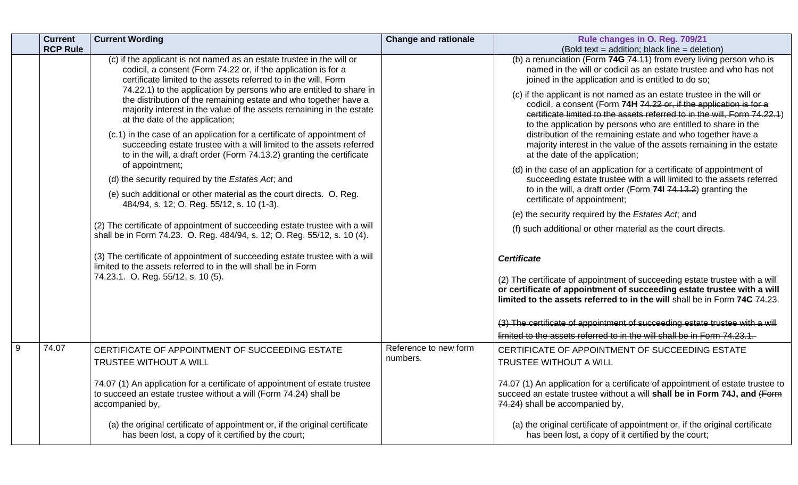|   | <b>Current</b><br><b>RCP Rule</b> | <b>Current Wording</b>                                                                                                                                                                                                                                                                                                                                                                                                                                                                                                                                                                                                                                                                                                                                                                                                                                                                                                                                                                                                                                                                                                                                                                                                                      | <b>Change and rationale</b>       | Rule changes in O. Reg. 709/21                                                                                                                                                                                                                                                                                                                                                                                                                                                                                                                                                                                                                                                                                                                                                                                                                                                                                                                                                                                                                                                                                                                                                                     |
|---|-----------------------------------|---------------------------------------------------------------------------------------------------------------------------------------------------------------------------------------------------------------------------------------------------------------------------------------------------------------------------------------------------------------------------------------------------------------------------------------------------------------------------------------------------------------------------------------------------------------------------------------------------------------------------------------------------------------------------------------------------------------------------------------------------------------------------------------------------------------------------------------------------------------------------------------------------------------------------------------------------------------------------------------------------------------------------------------------------------------------------------------------------------------------------------------------------------------------------------------------------------------------------------------------|-----------------------------------|----------------------------------------------------------------------------------------------------------------------------------------------------------------------------------------------------------------------------------------------------------------------------------------------------------------------------------------------------------------------------------------------------------------------------------------------------------------------------------------------------------------------------------------------------------------------------------------------------------------------------------------------------------------------------------------------------------------------------------------------------------------------------------------------------------------------------------------------------------------------------------------------------------------------------------------------------------------------------------------------------------------------------------------------------------------------------------------------------------------------------------------------------------------------------------------------------|
|   |                                   | (c) if the applicant is not named as an estate trustee in the will or<br>codicil, a consent (Form 74.22 or, if the application is for a<br>certificate limited to the assets referred to in the will, Form<br>74.22.1) to the application by persons who are entitled to share in<br>the distribution of the remaining estate and who together have a<br>majority interest in the value of the assets remaining in the estate<br>at the date of the application;<br>(c.1) in the case of an application for a certificate of appointment of<br>succeeding estate trustee with a will limited to the assets referred<br>to in the will, a draft order (Form 74.13.2) granting the certificate<br>of appointment;<br>(d) the security required by the Estates Act; and<br>(e) such additional or other material as the court directs. O. Reg.<br>484/94, s. 12; O. Reg. 55/12, s. 10 (1-3).<br>(2) The certificate of appointment of succeeding estate trustee with a will<br>shall be in Form 74.23. O. Reg. 484/94, s. 12; O. Reg. 55/12, s. 10 (4).<br>(3) The certificate of appointment of succeeding estate trustee with a will<br>limited to the assets referred to in the will shall be in Form<br>74.23.1. O. Reg. 55/12, s. 10 (5). |                                   | (Bold text = addition; black line = deletion)<br>(b) a renunciation (Form 74G 74.11) from every living person who is<br>named in the will or codicil as an estate trustee and who has not<br>joined in the application and is entitled to do so;<br>(c) if the applicant is not named as an estate trustee in the will or<br>codicil, a consent (Form 74H 74.22 or, if the application is for a<br>certificate limited to the assets referred to in the will, Form 74.22.1)<br>to the application by persons who are entitled to share in the<br>distribution of the remaining estate and who together have a<br>majority interest in the value of the assets remaining in the estate<br>at the date of the application;<br>(d) in the case of an application for a certificate of appointment of<br>succeeding estate trustee with a will limited to the assets referred<br>to in the will, a draft order (Form 74I 74.13.2) granting the<br>certificate of appointment;<br>(e) the security required by the Estates Act, and<br>(f) such additional or other material as the court directs.<br><b>Certificate</b><br>(2) The certificate of appointment of succeeding estate trustee with a will |
|   |                                   |                                                                                                                                                                                                                                                                                                                                                                                                                                                                                                                                                                                                                                                                                                                                                                                                                                                                                                                                                                                                                                                                                                                                                                                                                                             |                                   | or certificate of appointment of succeeding estate trustee with a will<br>limited to the assets referred to in the will shall be in Form 74C 74.23.<br>(3) The certificate of appointment of succeeding estate trustee with a will<br>limited to the assets referred to in the will shall be in Form 74.23.1.                                                                                                                                                                                                                                                                                                                                                                                                                                                                                                                                                                                                                                                                                                                                                                                                                                                                                      |
| 9 | 74.07                             | CERTIFICATE OF APPOINTMENT OF SUCCEEDING ESTATE<br>TRUSTEE WITHOUT A WILL<br>74.07 (1) An application for a certificate of appointment of estate trustee                                                                                                                                                                                                                                                                                                                                                                                                                                                                                                                                                                                                                                                                                                                                                                                                                                                                                                                                                                                                                                                                                    | Reference to new form<br>numbers. | CERTIFICATE OF APPOINTMENT OF SUCCEEDING ESTATE<br>TRUSTEE WITHOUT A WILL<br>74.07 (1) An application for a certificate of appointment of estate trustee to                                                                                                                                                                                                                                                                                                                                                                                                                                                                                                                                                                                                                                                                                                                                                                                                                                                                                                                                                                                                                                        |
|   |                                   | to succeed an estate trustee without a will (Form 74.24) shall be<br>accompanied by,<br>(a) the original certificate of appointment or, if the original certificate<br>has been lost, a copy of it certified by the court;                                                                                                                                                                                                                                                                                                                                                                                                                                                                                                                                                                                                                                                                                                                                                                                                                                                                                                                                                                                                                  |                                   | succeed an estate trustee without a will shall be in Form 74J, and (Form<br>74.24) shall be accompanied by,<br>(a) the original certificate of appointment or, if the original certificate<br>has been lost, a copy of it certified by the court;                                                                                                                                                                                                                                                                                                                                                                                                                                                                                                                                                                                                                                                                                                                                                                                                                                                                                                                                                  |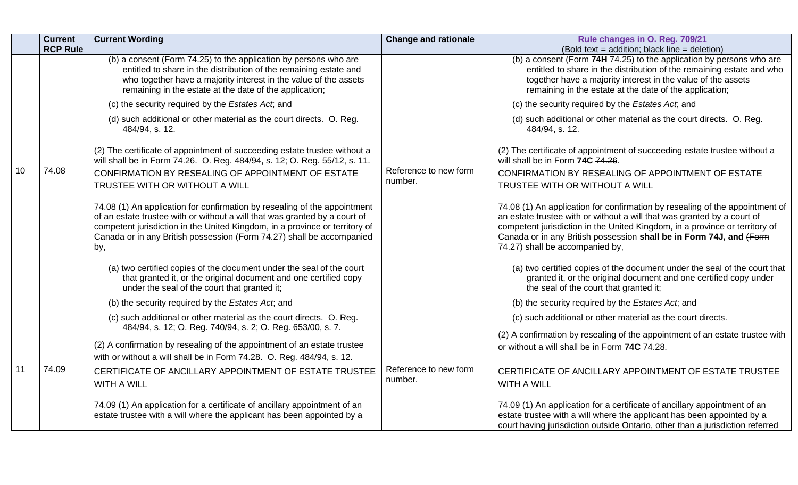|    | <b>Current</b><br><b>RCP Rule</b> | <b>Current Wording</b>                                                                                                                                                                                                                                                                                                 | <b>Change and rationale</b>      | Rule changes in O. Reg. 709/21<br>(Bold text = addition; black line = deletion)                                                                                                                                                                                                                                                                  |
|----|-----------------------------------|------------------------------------------------------------------------------------------------------------------------------------------------------------------------------------------------------------------------------------------------------------------------------------------------------------------------|----------------------------------|--------------------------------------------------------------------------------------------------------------------------------------------------------------------------------------------------------------------------------------------------------------------------------------------------------------------------------------------------|
|    |                                   | (b) a consent (Form 74.25) to the application by persons who are<br>entitled to share in the distribution of the remaining estate and<br>who together have a majority interest in the value of the assets<br>remaining in the estate at the date of the application;                                                   |                                  | (b) a consent (Form $74H$ $74.25$ ) to the application by persons who are<br>entitled to share in the distribution of the remaining estate and who<br>together have a majority interest in the value of the assets<br>remaining in the estate at the date of the application;                                                                    |
|    |                                   | (c) the security required by the Estates Act, and                                                                                                                                                                                                                                                                      |                                  | (c) the security required by the Estates Act; and                                                                                                                                                                                                                                                                                                |
|    |                                   | (d) such additional or other material as the court directs. O. Reg.<br>484/94, s. 12.                                                                                                                                                                                                                                  |                                  | (d) such additional or other material as the court directs. O. Reg.<br>484/94, s. 12.                                                                                                                                                                                                                                                            |
|    |                                   | (2) The certificate of appointment of succeeding estate trustee without a<br>will shall be in Form 74.26. O. Reg. 484/94, s. 12; O. Reg. 55/12, s. 11.                                                                                                                                                                 |                                  | (2) The certificate of appointment of succeeding estate trustee without a<br>will shall be in Form 74C 74.26.                                                                                                                                                                                                                                    |
| 10 | 74.08                             | CONFIRMATION BY RESEALING OF APPOINTMENT OF ESTATE<br>TRUSTEE WITH OR WITHOUT A WILL                                                                                                                                                                                                                                   | Reference to new form<br>number. | CONFIRMATION BY RESEALING OF APPOINTMENT OF ESTATE<br>TRUSTEE WITH OR WITHOUT A WILL                                                                                                                                                                                                                                                             |
|    |                                   | 74.08 (1) An application for confirmation by resealing of the appointment<br>of an estate trustee with or without a will that was granted by a court of<br>competent jurisdiction in the United Kingdom, in a province or territory of<br>Canada or in any British possession (Form 74.27) shall be accompanied<br>by, |                                  | 74.08 (1) An application for confirmation by resealing of the appointment of<br>an estate trustee with or without a will that was granted by a court of<br>competent jurisdiction in the United Kingdom, in a province or territory of<br>Canada or in any British possession shall be in Form 74J, and (Form<br>74.27) shall be accompanied by, |
|    |                                   | (a) two certified copies of the document under the seal of the court<br>that granted it, or the original document and one certified copy<br>under the seal of the court that granted it;                                                                                                                               |                                  | (a) two certified copies of the document under the seal of the court that<br>granted it, or the original document and one certified copy under<br>the seal of the court that granted it;                                                                                                                                                         |
|    |                                   | (b) the security required by the Estates Act, and                                                                                                                                                                                                                                                                      |                                  | (b) the security required by the Estates Act, and                                                                                                                                                                                                                                                                                                |
|    |                                   | (c) such additional or other material as the court directs. O. Reg.<br>484/94, s. 12; O. Reg. 740/94, s. 2; O. Reg. 653/00, s. 7.                                                                                                                                                                                      |                                  | (c) such additional or other material as the court directs.                                                                                                                                                                                                                                                                                      |
|    |                                   | (2) A confirmation by resealing of the appointment of an estate trustee<br>with or without a will shall be in Form 74.28. O. Reg. 484/94, s. 12.                                                                                                                                                                       |                                  | (2) A confirmation by resealing of the appointment of an estate trustee with<br>or without a will shall be in Form 74C 74.28.                                                                                                                                                                                                                    |
| 11 | 74.09                             | CERTIFICATE OF ANCILLARY APPOINTMENT OF ESTATE TRUSTEE<br><b>WITH A WILL</b>                                                                                                                                                                                                                                           | Reference to new form<br>number. | CERTIFICATE OF ANCILLARY APPOINTMENT OF ESTATE TRUSTEE<br><b>WITH A WILL</b>                                                                                                                                                                                                                                                                     |
|    |                                   | 74.09 (1) An application for a certificate of ancillary appointment of an<br>estate trustee with a will where the applicant has been appointed by a                                                                                                                                                                    |                                  | 74.09 (1) An application for a certificate of ancillary appointment of an<br>estate trustee with a will where the applicant has been appointed by a<br>court having jurisdiction outside Ontario, other than a jurisdiction referred                                                                                                             |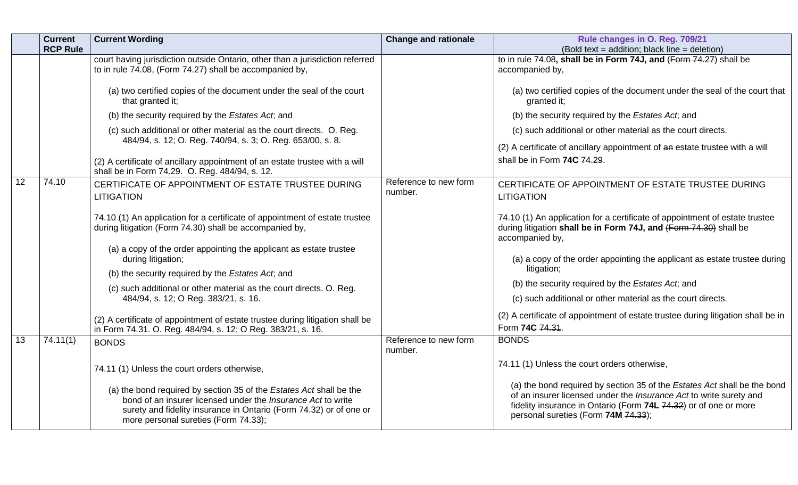|                 | <b>Current</b><br><b>RCP Rule</b> | <b>Current Wording</b>                                                                                                                                                                                                                                                                                                                                                                                                                                                                                                                                              | <b>Change and rationale</b>      | Rule changes in O. Reg. 709/21<br>(Bold text = addition; black line = deletion)                                                                                                                                                                                                                                                                                                                                                                                                                                                                                        |
|-----------------|-----------------------------------|---------------------------------------------------------------------------------------------------------------------------------------------------------------------------------------------------------------------------------------------------------------------------------------------------------------------------------------------------------------------------------------------------------------------------------------------------------------------------------------------------------------------------------------------------------------------|----------------------------------|------------------------------------------------------------------------------------------------------------------------------------------------------------------------------------------------------------------------------------------------------------------------------------------------------------------------------------------------------------------------------------------------------------------------------------------------------------------------------------------------------------------------------------------------------------------------|
|                 |                                   | court having jurisdiction outside Ontario, other than a jurisdiction referred<br>to in rule 74.08, (Form 74.27) shall be accompanied by,<br>(a) two certified copies of the document under the seal of the court<br>that granted it;<br>(b) the security required by the Estates Act; and<br>(c) such additional or other material as the court directs. O. Reg.<br>484/94, s. 12; O. Reg. 740/94, s. 3; O. Reg. 653/00, s. 8.                                                                                                                                      |                                  | to in rule 74.08, shall be in Form 74J, and (Form 74.27) shall be<br>accompanied by,<br>(a) two certified copies of the document under the seal of the court that<br>granted it;<br>(b) the security required by the Estates Act; and<br>(c) such additional or other material as the court directs.                                                                                                                                                                                                                                                                   |
|                 |                                   | (2) A certificate of ancillary appointment of an estate trustee with a will<br>shall be in Form 74.29. O. Reg. 484/94, s. 12.                                                                                                                                                                                                                                                                                                                                                                                                                                       |                                  | (2) A certificate of ancillary appointment of an estate trustee with a will<br>shall be in Form 74C 74.29.                                                                                                                                                                                                                                                                                                                                                                                                                                                             |
| 12              | 74.10                             | CERTIFICATE OF APPOINTMENT OF ESTATE TRUSTEE DURING<br><b>LITIGATION</b><br>74.10 (1) An application for a certificate of appointment of estate trustee<br>during litigation (Form 74.30) shall be accompanied by,<br>(a) a copy of the order appointing the applicant as estate trustee<br>during litigation;<br>(b) the security required by the Estates Act; and<br>(c) such additional or other material as the court directs. O. Reg.<br>484/94, s. 12; O Reg. 383/21, s. 16.<br>(2) A certificate of appointment of estate trustee during litigation shall be | Reference to new form<br>number. | CERTIFICATE OF APPOINTMENT OF ESTATE TRUSTEE DURING<br><b>LITIGATION</b><br>74.10 (1) An application for a certificate of appointment of estate trustee<br>during litigation shall be in Form 74J, and (Form 74.30) shall be<br>accompanied by,<br>(a) a copy of the order appointing the applicant as estate trustee during<br>litigation;<br>(b) the security required by the Estates Act, and<br>(c) such additional or other material as the court directs.<br>(2) A certificate of appointment of estate trustee during litigation shall be in<br>Form 74C 74.31. |
| $\overline{13}$ | 74.11(1)                          | in Form 74.31. O. Reg. 484/94, s. 12; O Reg. 383/21, s. 16.<br><b>BONDS</b><br>74.11 (1) Unless the court orders otherwise,<br>(a) the bond required by section 35 of the Estates Act shall be the<br>bond of an insurer licensed under the <i>Insurance Act</i> to write<br>surety and fidelity insurance in Ontario (Form 74.32) or of one or<br>more personal sureties (Form 74.33);                                                                                                                                                                             | Reference to new form<br>number. | <b>BONDS</b><br>74.11 (1) Unless the court orders otherwise,<br>(a) the bond required by section 35 of the Estates Act shall be the bond<br>of an insurer licensed under the Insurance Act to write surety and<br>fidelity insurance in Ontario (Form 74L 74.32) or of one or more<br>personal sureties (Form 74M 74.33);                                                                                                                                                                                                                                              |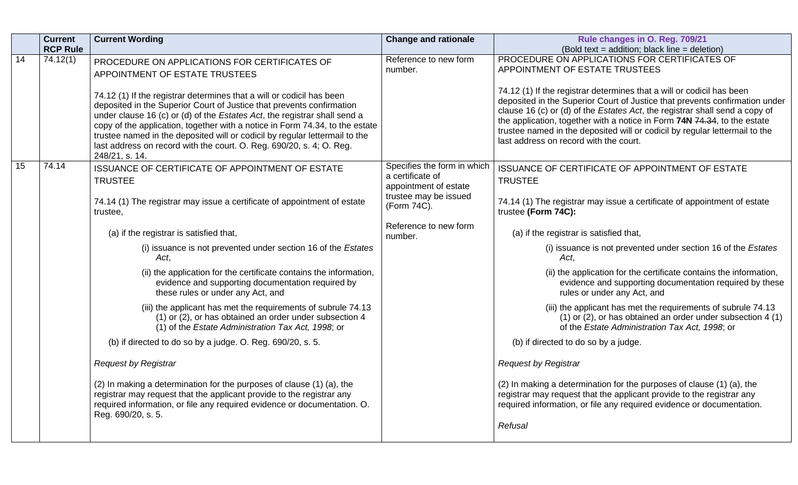|    | <b>Current</b><br><b>RCP Rule</b> | <b>Current Wording</b>                                                                                                                                                                                                                                                                                                                                                                                                                                                               | <b>Change and rationale</b>                                              | Rule changes in O. Reg. 709/21<br>(Bold text = addition; black line = deletion)                                                                                                                                                                                                                                                                                                                                                          |
|----|-----------------------------------|--------------------------------------------------------------------------------------------------------------------------------------------------------------------------------------------------------------------------------------------------------------------------------------------------------------------------------------------------------------------------------------------------------------------------------------------------------------------------------------|--------------------------------------------------------------------------|------------------------------------------------------------------------------------------------------------------------------------------------------------------------------------------------------------------------------------------------------------------------------------------------------------------------------------------------------------------------------------------------------------------------------------------|
| 14 | 74.12(1)                          | PROCEDURE ON APPLICATIONS FOR CERTIFICATES OF<br>APPOINTMENT OF ESTATE TRUSTEES                                                                                                                                                                                                                                                                                                                                                                                                      | Reference to new form<br>number.                                         | PROCEDURE ON APPLICATIONS FOR CERTIFICATES OF<br>APPOINTMENT OF ESTATE TRUSTEES                                                                                                                                                                                                                                                                                                                                                          |
|    |                                   | 74.12 (1) If the registrar determines that a will or codicil has been<br>deposited in the Superior Court of Justice that prevents confirmation<br>under clause 16 (c) or (d) of the Estates Act, the registrar shall send a<br>copy of the application, together with a notice in Form 74.34, to the estate<br>trustee named in the deposited will or codicil by regular lettermail to the<br>last address on record with the court. O. Reg. 690/20, s. 4; O. Reg.<br>248/21, s. 14. |                                                                          | 74.12 (1) If the registrar determines that a will or codicil has been<br>deposited in the Superior Court of Justice that prevents confirmation under<br>clause 16 (c) or (d) of the Estates Act, the registrar shall send a copy of<br>the application, together with a notice in Form 74N 74.34, to the estate<br>trustee named in the deposited will or codicil by regular lettermail to the<br>last address on record with the court. |
| 15 | 74.14                             | ISSUANCE OF CERTIFICATE OF APPOINTMENT OF ESTATE<br><b>TRUSTEE</b>                                                                                                                                                                                                                                                                                                                                                                                                                   | Specifies the form in which<br>a certificate of<br>appointment of estate | ISSUANCE OF CERTIFICATE OF APPOINTMENT OF ESTATE<br><b>TRUSTEE</b>                                                                                                                                                                                                                                                                                                                                                                       |
|    |                                   | 74.14 (1) The registrar may issue a certificate of appointment of estate<br>trustee,                                                                                                                                                                                                                                                                                                                                                                                                 | trustee may be issued<br>(Form 74C).                                     | 74.14 (1) The registrar may issue a certificate of appointment of estate<br>trustee (Form 74C):                                                                                                                                                                                                                                                                                                                                          |
|    |                                   | (a) if the registrar is satisfied that,                                                                                                                                                                                                                                                                                                                                                                                                                                              | Reference to new form<br>number.                                         | (a) if the registrar is satisfied that,                                                                                                                                                                                                                                                                                                                                                                                                  |
|    |                                   | (i) issuance is not prevented under section 16 of the Estates<br>Act.                                                                                                                                                                                                                                                                                                                                                                                                                |                                                                          | (i) issuance is not prevented under section 16 of the Estates<br>Act.                                                                                                                                                                                                                                                                                                                                                                    |
|    |                                   | (ii) the application for the certificate contains the information,<br>evidence and supporting documentation required by<br>these rules or under any Act, and                                                                                                                                                                                                                                                                                                                         |                                                                          | (ii) the application for the certificate contains the information,<br>evidence and supporting documentation required by these<br>rules or under any Act, and                                                                                                                                                                                                                                                                             |
|    |                                   | (iii) the applicant has met the requirements of subrule 74.13<br>(1) or (2), or has obtained an order under subsection 4<br>(1) of the Estate Administration Tax Act, 1998; or                                                                                                                                                                                                                                                                                                       |                                                                          | (iii) the applicant has met the requirements of subrule 74.13<br>$(1)$ or $(2)$ , or has obtained an order under subsection 4 $(1)$<br>of the Estate Administration Tax Act, 1998; or                                                                                                                                                                                                                                                    |
|    |                                   | (b) if directed to do so by a judge. O. Reg. 690/20, s. 5.                                                                                                                                                                                                                                                                                                                                                                                                                           |                                                                          | (b) if directed to do so by a judge.                                                                                                                                                                                                                                                                                                                                                                                                     |
|    |                                   | <b>Request by Registrar</b>                                                                                                                                                                                                                                                                                                                                                                                                                                                          |                                                                          | <b>Request by Registrar</b>                                                                                                                                                                                                                                                                                                                                                                                                              |
|    |                                   | (2) In making a determination for the purposes of clause (1) (a), the<br>registrar may request that the applicant provide to the registrar any<br>required information, or file any required evidence or documentation. O.<br>Reg. 690/20, s. 5.                                                                                                                                                                                                                                     |                                                                          | (2) In making a determination for the purposes of clause (1) (a), the<br>registrar may request that the applicant provide to the registrar any<br>required information, or file any required evidence or documentation.<br>Refusal                                                                                                                                                                                                       |
|    |                                   |                                                                                                                                                                                                                                                                                                                                                                                                                                                                                      |                                                                          |                                                                                                                                                                                                                                                                                                                                                                                                                                          |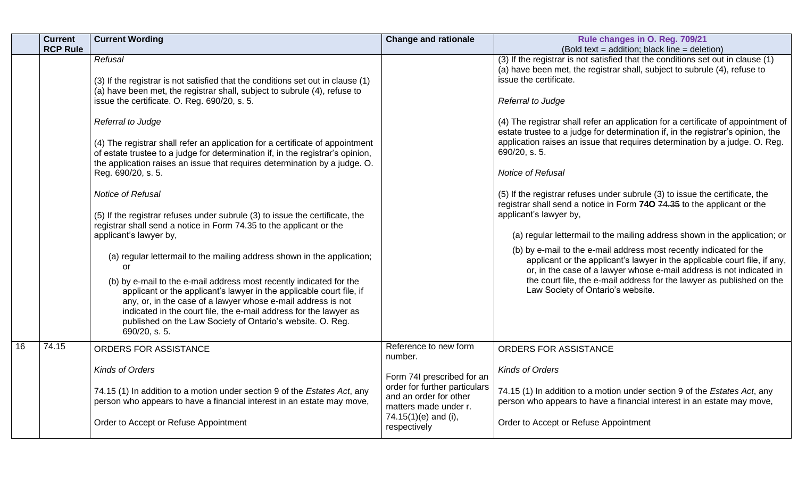|    | <b>Current</b><br><b>RCP Rule</b> | <b>Current Wording</b>                                                                                                                                                                                                                                                                                                                                                                                                                                                                                                                                                                                                                                                                                                                                                                                                                                                            | <b>Change and rationale</b>                                                      | Rule changes in O. Reg. 709/21<br>(Bold text = addition; black line = deletion)                                                                                                                                                                                                                                                                                                                                                                                                                                                                                                                                                                                                                                                                                                                                                                                                                                                                                                                                                                                                 |
|----|-----------------------------------|-----------------------------------------------------------------------------------------------------------------------------------------------------------------------------------------------------------------------------------------------------------------------------------------------------------------------------------------------------------------------------------------------------------------------------------------------------------------------------------------------------------------------------------------------------------------------------------------------------------------------------------------------------------------------------------------------------------------------------------------------------------------------------------------------------------------------------------------------------------------------------------|----------------------------------------------------------------------------------|---------------------------------------------------------------------------------------------------------------------------------------------------------------------------------------------------------------------------------------------------------------------------------------------------------------------------------------------------------------------------------------------------------------------------------------------------------------------------------------------------------------------------------------------------------------------------------------------------------------------------------------------------------------------------------------------------------------------------------------------------------------------------------------------------------------------------------------------------------------------------------------------------------------------------------------------------------------------------------------------------------------------------------------------------------------------------------|
|    |                                   | Refusal<br>(3) If the registrar is not satisfied that the conditions set out in clause (1)<br>(a) have been met, the registrar shall, subject to subrule (4), refuse to<br>issue the certificate. O. Reg. 690/20, s. 5.<br>Referral to Judge<br>(4) The registrar shall refer an application for a certificate of appointment<br>of estate trustee to a judge for determination if, in the registrar's opinion,<br>the application raises an issue that requires determination by a judge. O.<br>Reg. 690/20, s. 5.<br>Notice of Refusal<br>(5) If the registrar refuses under subrule (3) to issue the certificate, the<br>registrar shall send a notice in Form 74.35 to the applicant or the<br>applicant's lawyer by,<br>(a) regular lettermail to the mailing address shown in the application;<br>or<br>(b) by e-mail to the e-mail address most recently indicated for the |                                                                                  | (3) If the registrar is not satisfied that the conditions set out in clause (1)<br>(a) have been met, the registrar shall, subject to subrule (4), refuse to<br>issue the certificate.<br>Referral to Judge<br>(4) The registrar shall refer an application for a certificate of appointment of<br>estate trustee to a judge for determination if, in the registrar's opinion, the<br>application raises an issue that requires determination by a judge. O. Reg.<br>690/20, s. 5.<br>Notice of Refusal<br>(5) If the registrar refuses under subrule (3) to issue the certificate, the<br>registrar shall send a notice in Form 740 74.35 to the applicant or the<br>applicant's lawyer by,<br>(a) regular lettermail to the mailing address shown in the application; or<br>(b) by e-mail to the e-mail address most recently indicated for the<br>applicant or the applicant's lawyer in the applicable court file, if any,<br>or, in the case of a lawyer whose e-mail address is not indicated in<br>the court file, the e-mail address for the lawyer as published on the |
|    |                                   | applicant or the applicant's lawyer in the applicable court file, if<br>any, or, in the case of a lawyer whose e-mail address is not<br>indicated in the court file, the e-mail address for the lawyer as<br>published on the Law Society of Ontario's website. O. Reg.<br>690/20, s. 5.                                                                                                                                                                                                                                                                                                                                                                                                                                                                                                                                                                                          |                                                                                  | Law Society of Ontario's website.                                                                                                                                                                                                                                                                                                                                                                                                                                                                                                                                                                                                                                                                                                                                                                                                                                                                                                                                                                                                                                               |
| 16 | 74.15                             | ORDERS FOR ASSISTANCE                                                                                                                                                                                                                                                                                                                                                                                                                                                                                                                                                                                                                                                                                                                                                                                                                                                             | Reference to new form<br>number.                                                 | ORDERS FOR ASSISTANCE                                                                                                                                                                                                                                                                                                                                                                                                                                                                                                                                                                                                                                                                                                                                                                                                                                                                                                                                                                                                                                                           |
|    |                                   | <b>Kinds of Orders</b>                                                                                                                                                                                                                                                                                                                                                                                                                                                                                                                                                                                                                                                                                                                                                                                                                                                            | Form 74I prescribed for an                                                       | <b>Kinds of Orders</b>                                                                                                                                                                                                                                                                                                                                                                                                                                                                                                                                                                                                                                                                                                                                                                                                                                                                                                                                                                                                                                                          |
|    |                                   | 74.15 (1) In addition to a motion under section 9 of the Estates Act, any<br>person who appears to have a financial interest in an estate may move,                                                                                                                                                                                                                                                                                                                                                                                                                                                                                                                                                                                                                                                                                                                               | order for further particulars<br>and an order for other<br>matters made under r. | 74.15 (1) In addition to a motion under section 9 of the Estates Act, any<br>person who appears to have a financial interest in an estate may move,                                                                                                                                                                                                                                                                                                                                                                                                                                                                                                                                                                                                                                                                                                                                                                                                                                                                                                                             |
|    |                                   | Order to Accept or Refuse Appointment                                                                                                                                                                                                                                                                                                                                                                                                                                                                                                                                                                                                                                                                                                                                                                                                                                             | 74.15(1)(e) and (i),<br>respectively                                             | Order to Accept or Refuse Appointment                                                                                                                                                                                                                                                                                                                                                                                                                                                                                                                                                                                                                                                                                                                                                                                                                                                                                                                                                                                                                                           |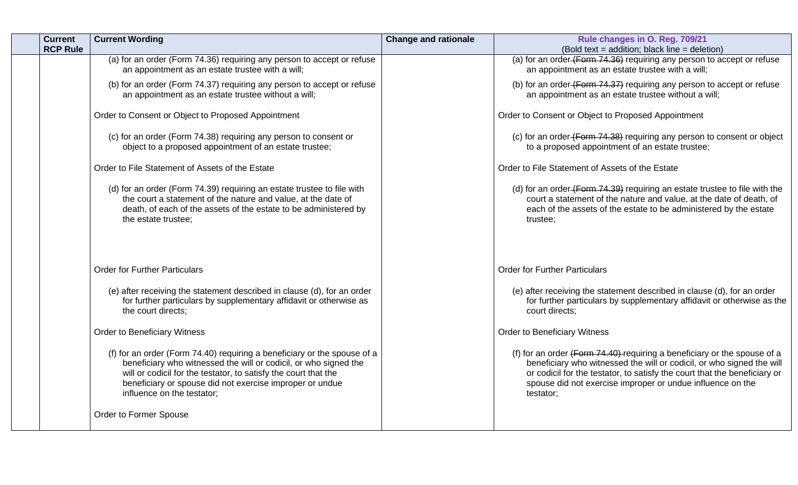| <b>Current</b><br><b>RCP Rule</b> | <b>Current Wording</b>                                                                                                                                                                                                                                                                                    | <b>Change and rationale</b> | Rule changes in O. Reg. 709/21<br>(Bold text = addition; black line = deletion)                                                                                                                                                                                                                             |
|-----------------------------------|-----------------------------------------------------------------------------------------------------------------------------------------------------------------------------------------------------------------------------------------------------------------------------------------------------------|-----------------------------|-------------------------------------------------------------------------------------------------------------------------------------------------------------------------------------------------------------------------------------------------------------------------------------------------------------|
|                                   | (a) for an order (Form 74.36) requiring any person to accept or refuse<br>an appointment as an estate trustee with a will;                                                                                                                                                                                |                             | (a) for an order (Form 74.36) requiring any person to accept or refuse<br>an appointment as an estate trustee with a will;                                                                                                                                                                                  |
|                                   | (b) for an order (Form 74.37) requiring any person to accept or refuse<br>an appointment as an estate trustee without a will;                                                                                                                                                                             |                             | (b) for an order (Form 74.37) requiring any person to accept or refuse<br>an appointment as an estate trustee without a will;                                                                                                                                                                               |
|                                   | Order to Consent or Object to Proposed Appointment                                                                                                                                                                                                                                                        |                             | Order to Consent or Object to Proposed Appointment                                                                                                                                                                                                                                                          |
|                                   | (c) for an order (Form 74.38) requiring any person to consent or<br>object to a proposed appointment of an estate trustee;                                                                                                                                                                                |                             | (c) for an order (Form 74.38) requiring any person to consent or object<br>to a proposed appointment of an estate trustee;                                                                                                                                                                                  |
|                                   | Order to File Statement of Assets of the Estate                                                                                                                                                                                                                                                           |                             | Order to File Statement of Assets of the Estate                                                                                                                                                                                                                                                             |
|                                   | (d) for an order (Form 74.39) requiring an estate trustee to file with<br>the court a statement of the nature and value, at the date of<br>death, of each of the assets of the estate to be administered by<br>the estate trustee;                                                                        |                             | (d) for an order (Form 74.39) requiring an estate trustee to file with the<br>court a statement of the nature and value, at the date of death, of<br>each of the assets of the estate to be administered by the estate<br>trustee;                                                                          |
|                                   | <b>Order for Further Particulars</b>                                                                                                                                                                                                                                                                      |                             | <b>Order for Further Particulars</b>                                                                                                                                                                                                                                                                        |
|                                   | (e) after receiving the statement described in clause (d), for an order<br>for further particulars by supplementary affidavit or otherwise as<br>the court directs;                                                                                                                                       |                             | (e) after receiving the statement described in clause (d), for an order<br>for further particulars by supplementary affidavit or otherwise as the<br>court directs;                                                                                                                                         |
|                                   | <b>Order to Beneficiary Witness</b>                                                                                                                                                                                                                                                                       |                             | <b>Order to Beneficiary Witness</b>                                                                                                                                                                                                                                                                         |
|                                   | (f) for an order (Form 74.40) requiring a beneficiary or the spouse of a<br>beneficiary who witnessed the will or codicil, or who signed the<br>will or codicil for the testator, to satisfy the court that the<br>beneficiary or spouse did not exercise improper or undue<br>influence on the testator; |                             | (f) for an order $(Form 74.40)$ requiring a beneficiary or the spouse of a<br>beneficiary who witnessed the will or codicil, or who signed the will<br>or codicil for the testator, to satisfy the court that the beneficiary or<br>spouse did not exercise improper or undue influence on the<br>testator; |
|                                   | Order to Former Spouse                                                                                                                                                                                                                                                                                    |                             |                                                                                                                                                                                                                                                                                                             |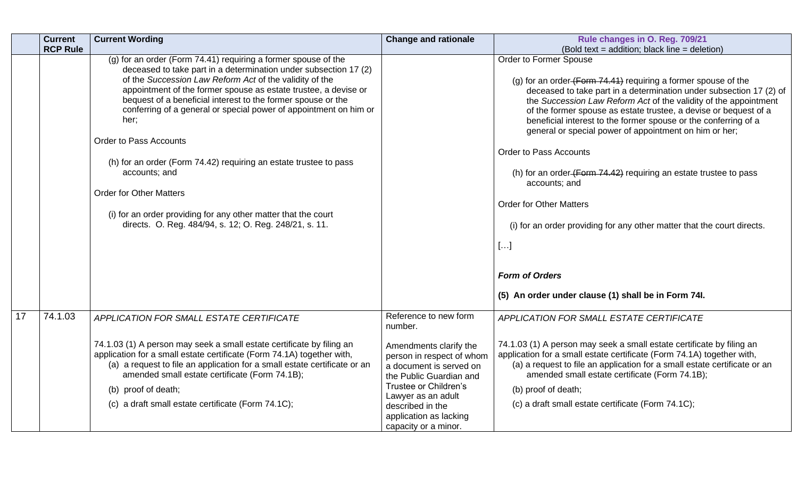|    | <b>Current</b>  | <b>Current Wording</b>                                                                                                                                                                                                                                                                                                                                                                                                                                                                                                                                                                                                                                                                             | <b>Change and rationale</b>                                                                                                                                                                                                    | Rule changes in O. Reg. 709/21                                                                                                                                                                                                                                                                                                                                                                                                                                                                                                                                                                                                                                                                                                                                            |
|----|-----------------|----------------------------------------------------------------------------------------------------------------------------------------------------------------------------------------------------------------------------------------------------------------------------------------------------------------------------------------------------------------------------------------------------------------------------------------------------------------------------------------------------------------------------------------------------------------------------------------------------------------------------------------------------------------------------------------------------|--------------------------------------------------------------------------------------------------------------------------------------------------------------------------------------------------------------------------------|---------------------------------------------------------------------------------------------------------------------------------------------------------------------------------------------------------------------------------------------------------------------------------------------------------------------------------------------------------------------------------------------------------------------------------------------------------------------------------------------------------------------------------------------------------------------------------------------------------------------------------------------------------------------------------------------------------------------------------------------------------------------------|
|    | <b>RCP Rule</b> |                                                                                                                                                                                                                                                                                                                                                                                                                                                                                                                                                                                                                                                                                                    |                                                                                                                                                                                                                                | (Bold text = addition; black line = deletion)                                                                                                                                                                                                                                                                                                                                                                                                                                                                                                                                                                                                                                                                                                                             |
|    |                 | (g) for an order (Form 74.41) requiring a former spouse of the<br>deceased to take part in a determination under subsection 17 (2)<br>of the Succession Law Reform Act of the validity of the<br>appointment of the former spouse as estate trustee, a devise or<br>bequest of a beneficial interest to the former spouse or the<br>conferring of a general or special power of appointment on him or<br>her;<br><b>Order to Pass Accounts</b><br>(h) for an order (Form 74.42) requiring an estate trustee to pass<br>accounts; and<br><b>Order for Other Matters</b><br>(i) for an order providing for any other matter that the court<br>directs. O. Reg. 484/94, s. 12; O. Reg. 248/21, s. 11. |                                                                                                                                                                                                                                | <b>Order to Former Spouse</b><br>(g) for an order $(Form 74.41)$ requiring a former spouse of the<br>deceased to take part in a determination under subsection 17 (2) of<br>the Succession Law Reform Act of the validity of the appointment<br>of the former spouse as estate trustee, a devise or bequest of a<br>beneficial interest to the former spouse or the conferring of a<br>general or special power of appointment on him or her;<br><b>Order to Pass Accounts</b><br>(h) for an order (Form 74.42) requiring an estate trustee to pass<br>accounts; and<br><b>Order for Other Matters</b><br>(i) for an order providing for any other matter that the court directs.<br>$[]$<br><b>Form of Orders</b><br>(5) An order under clause (1) shall be in Form 74l. |
|    |                 |                                                                                                                                                                                                                                                                                                                                                                                                                                                                                                                                                                                                                                                                                                    |                                                                                                                                                                                                                                |                                                                                                                                                                                                                                                                                                                                                                                                                                                                                                                                                                                                                                                                                                                                                                           |
| 17 | 74.1.03         | APPLICATION FOR SMALL ESTATE CERTIFICATE                                                                                                                                                                                                                                                                                                                                                                                                                                                                                                                                                                                                                                                           | Reference to new form<br>number.                                                                                                                                                                                               | APPLICATION FOR SMALL ESTATE CERTIFICATE                                                                                                                                                                                                                                                                                                                                                                                                                                                                                                                                                                                                                                                                                                                                  |
|    |                 | 74.1.03 (1) A person may seek a small estate certificate by filing an<br>application for a small estate certificate (Form 74.1A) together with,<br>(a) a request to file an application for a small estate certificate or an<br>amended small estate certificate (Form 74.1B);<br>(b) proof of death;<br>(c) a draft small estate certificate (Form 74.1C);                                                                                                                                                                                                                                                                                                                                        | Amendments clarify the<br>person in respect of whom<br>a document is served on<br>the Public Guardian and<br>Trustee or Children's<br>Lawyer as an adult<br>described in the<br>application as lacking<br>capacity or a minor. | 74.1.03 (1) A person may seek a small estate certificate by filing an<br>application for a small estate certificate (Form 74.1A) together with,<br>(a) a request to file an application for a small estate certificate or an<br>amended small estate certificate (Form 74.1B);<br>(b) proof of death;<br>(c) a draft small estate certificate (Form 74.1C);                                                                                                                                                                                                                                                                                                                                                                                                               |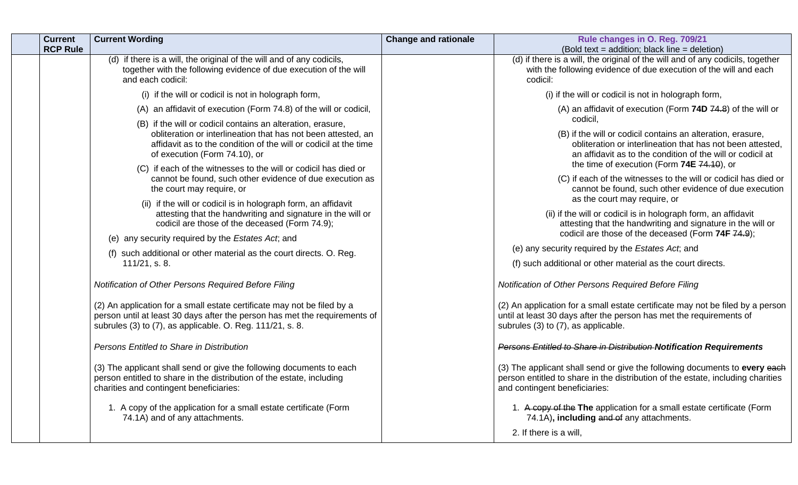| <b>Current</b><br><b>RCP Rule</b> | <b>Current Wording</b>                                                                                                                                                                                                            | <b>Change and rationale</b> | Rule changes in O. Reg. 709/21<br>(Bold text = addition; black line = deletion)                                                                                                                     |
|-----------------------------------|-----------------------------------------------------------------------------------------------------------------------------------------------------------------------------------------------------------------------------------|-----------------------------|-----------------------------------------------------------------------------------------------------------------------------------------------------------------------------------------------------|
|                                   | (d) if there is a will, the original of the will and of any codicils,<br>together with the following evidence of due execution of the will<br>and each codicil:                                                                   |                             | (d) if there is a will, the original of the will and of any codicils, together<br>with the following evidence of due execution of the will and each<br>codicil:                                     |
|                                   | (i) if the will or codicil is not in holograph form,                                                                                                                                                                              |                             | (i) if the will or codicil is not in holograph form,                                                                                                                                                |
|                                   | (A) an affidavit of execution (Form 74.8) of the will or codicil,                                                                                                                                                                 |                             | (A) an affidavit of execution (Form 74D 74.8) of the will or                                                                                                                                        |
|                                   | (B) if the will or codicil contains an alteration, erasure,<br>obliteration or interlineation that has not been attested, an<br>affidavit as to the condition of the will or codicil at the time<br>of execution (Form 74.10), or |                             | codicil.<br>(B) if the will or codicil contains an alteration, erasure,<br>obliteration or interlineation that has not been attested,<br>an affidavit as to the condition of the will or codicil at |
|                                   | (C) if each of the witnesses to the will or codicil has died or                                                                                                                                                                   |                             | the time of execution (Form 74E 74.10), or                                                                                                                                                          |
|                                   | cannot be found, such other evidence of due execution as<br>the court may require, or                                                                                                                                             |                             | (C) if each of the witnesses to the will or codicil has died or<br>cannot be found, such other evidence of due execution<br>as the court may require, or                                            |
|                                   | (ii) if the will or codicil is in holograph form, an affidavit<br>attesting that the handwriting and signature in the will or<br>codicil are those of the deceased (Form 74.9);                                                   |                             | (ii) if the will or codicil is in holograph form, an affidavit<br>attesting that the handwriting and signature in the will or                                                                       |
|                                   | (e) any security required by the Estates Act; and                                                                                                                                                                                 |                             | codicil are those of the deceased (Form 74F 74.9);                                                                                                                                                  |
|                                   | (f) such additional or other material as the court directs. O. Reg.<br>$111/21$ , s. 8.                                                                                                                                           |                             | (e) any security required by the Estates Act, and<br>(f) such additional or other material as the court directs.                                                                                    |
|                                   | Notification of Other Persons Required Before Filing                                                                                                                                                                              |                             | Notification of Other Persons Required Before Filing                                                                                                                                                |
|                                   | (2) An application for a small estate certificate may not be filed by a<br>person until at least 30 days after the person has met the requirements of<br>subrules (3) to (7), as applicable. O. Reg. 111/21, s. 8.                |                             | (2) An application for a small estate certificate may not be filed by a person<br>until at least 30 days after the person has met the requirements of<br>subrules (3) to (7), as applicable.        |
|                                   | Persons Entitled to Share in Distribution                                                                                                                                                                                         |                             | Persons Entitled to Share in Distribution Notification Requirements                                                                                                                                 |
|                                   | (3) The applicant shall send or give the following documents to each<br>person entitled to share in the distribution of the estate, including<br>charities and contingent beneficiaries:                                          |                             | (3) The applicant shall send or give the following documents to every each<br>person entitled to share in the distribution of the estate, including charities<br>and contingent beneficiaries:      |
|                                   | 1. A copy of the application for a small estate certificate (Form<br>74.1A) and of any attachments.                                                                                                                               |                             | 1. A copy of the The application for a small estate certificate (Form<br>74.1A), including and of any attachments.                                                                                  |
|                                   |                                                                                                                                                                                                                                   |                             | 2. If there is a will,                                                                                                                                                                              |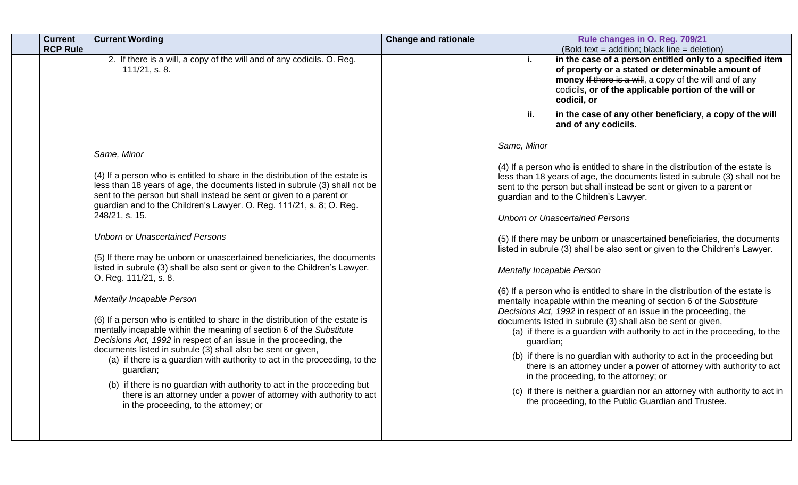| <b>Current</b><br><b>RCP Rule</b> | <b>Current Wording</b>                                                                                                                                                                                                                                                                                                                                                                                                                                                                                                                                                                                          | <b>Change and rationale</b> | Rule changes in O. Reg. 709/21<br>(Bold text = addition; black line = deletion)                                                                                                                                                                                                                                                                                                                                                                                                                                                                                                                                                                                                                                          |
|-----------------------------------|-----------------------------------------------------------------------------------------------------------------------------------------------------------------------------------------------------------------------------------------------------------------------------------------------------------------------------------------------------------------------------------------------------------------------------------------------------------------------------------------------------------------------------------------------------------------------------------------------------------------|-----------------------------|--------------------------------------------------------------------------------------------------------------------------------------------------------------------------------------------------------------------------------------------------------------------------------------------------------------------------------------------------------------------------------------------------------------------------------------------------------------------------------------------------------------------------------------------------------------------------------------------------------------------------------------------------------------------------------------------------------------------------|
|                                   | 2. If there is a will, a copy of the will and of any codicils. O. Reg.<br>111/21, s. 8.                                                                                                                                                                                                                                                                                                                                                                                                                                                                                                                         |                             | in the case of a person entitled only to a specified item<br>j.<br>of property or a stated or determinable amount of<br>money If there is a will, a copy of the will and of any<br>codicils, or of the applicable portion of the will or<br>codicil, or                                                                                                                                                                                                                                                                                                                                                                                                                                                                  |
|                                   |                                                                                                                                                                                                                                                                                                                                                                                                                                                                                                                                                                                                                 |                             | ii.<br>in the case of any other beneficiary, a copy of the will<br>and of any codicils.                                                                                                                                                                                                                                                                                                                                                                                                                                                                                                                                                                                                                                  |
|                                   | Same, Minor                                                                                                                                                                                                                                                                                                                                                                                                                                                                                                                                                                                                     |                             | Same, Minor                                                                                                                                                                                                                                                                                                                                                                                                                                                                                                                                                                                                                                                                                                              |
|                                   | (4) If a person who is entitled to share in the distribution of the estate is<br>less than 18 years of age, the documents listed in subrule (3) shall not be<br>sent to the person but shall instead be sent or given to a parent or<br>guardian and to the Children's Lawyer. O. Reg. 111/21, s. 8; O. Reg.                                                                                                                                                                                                                                                                                                    |                             | (4) If a person who is entitled to share in the distribution of the estate is<br>less than 18 years of age, the documents listed in subrule (3) shall not be<br>sent to the person but shall instead be sent or given to a parent or<br>guardian and to the Children's Lawyer.                                                                                                                                                                                                                                                                                                                                                                                                                                           |
|                                   | 248/21, s. 15.                                                                                                                                                                                                                                                                                                                                                                                                                                                                                                                                                                                                  |                             | <b>Unborn or Unascertained Persons</b>                                                                                                                                                                                                                                                                                                                                                                                                                                                                                                                                                                                                                                                                                   |
|                                   | <b>Unborn or Unascertained Persons</b><br>(5) If there may be unborn or unascertained beneficiaries, the documents                                                                                                                                                                                                                                                                                                                                                                                                                                                                                              |                             | (5) If there may be unborn or unascertained beneficiaries, the documents<br>listed in subrule (3) shall be also sent or given to the Children's Lawyer.                                                                                                                                                                                                                                                                                                                                                                                                                                                                                                                                                                  |
|                                   | listed in subrule (3) shall be also sent or given to the Children's Lawyer.<br>O. Reg. 111/21, s. 8.                                                                                                                                                                                                                                                                                                                                                                                                                                                                                                            |                             | Mentally Incapable Person                                                                                                                                                                                                                                                                                                                                                                                                                                                                                                                                                                                                                                                                                                |
|                                   | Mentally Incapable Person<br>(6) If a person who is entitled to share in the distribution of the estate is<br>mentally incapable within the meaning of section 6 of the Substitute<br>Decisions Act, 1992 in respect of an issue in the proceeding, the<br>documents listed in subrule (3) shall also be sent or given,<br>(a) if there is a guardian with authority to act in the proceeding, to the<br>guardian;<br>(b) if there is no guardian with authority to act in the proceeding but<br>there is an attorney under a power of attorney with authority to act<br>in the proceeding, to the attorney; or |                             | (6) If a person who is entitled to share in the distribution of the estate is<br>mentally incapable within the meaning of section 6 of the Substitute<br>Decisions Act, 1992 in respect of an issue in the proceeding, the<br>documents listed in subrule (3) shall also be sent or given,<br>(a) if there is a guardian with authority to act in the proceeding, to the<br>guardian;<br>(b) if there is no guardian with authority to act in the proceeding but<br>there is an attorney under a power of attorney with authority to act<br>in the proceeding, to the attorney; or<br>(c) if there is neither a guardian nor an attorney with authority to act in<br>the proceeding, to the Public Guardian and Trustee. |
|                                   |                                                                                                                                                                                                                                                                                                                                                                                                                                                                                                                                                                                                                 |                             |                                                                                                                                                                                                                                                                                                                                                                                                                                                                                                                                                                                                                                                                                                                          |